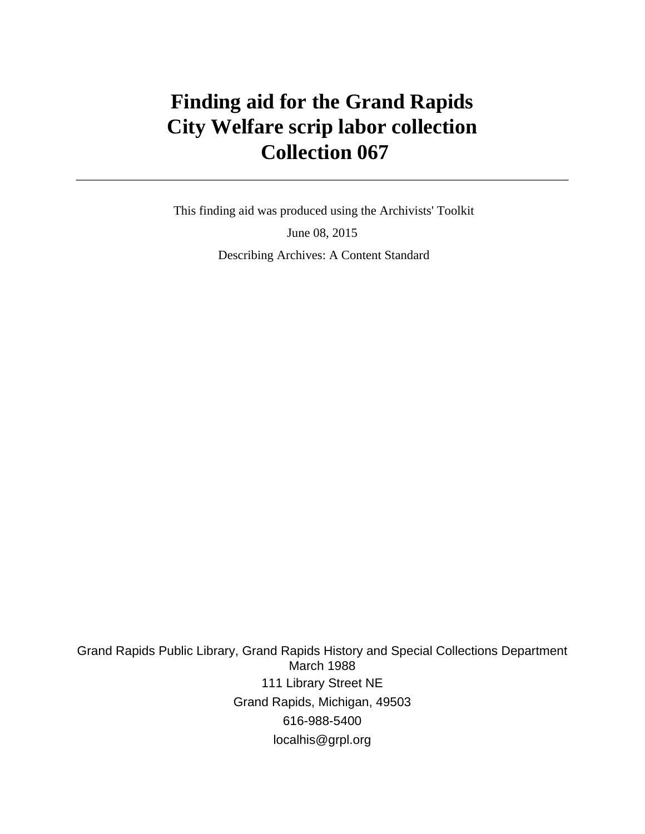# **Finding aid for the Grand Rapids City Welfare scrip labor collection Collection 067**

 This finding aid was produced using the Archivists' Toolkit June 08, 2015 Describing Archives: A Content Standard

Grand Rapids Public Library, Grand Rapids History and Special Collections Department March 1988 111 Library Street NE Grand Rapids, Michigan, 49503 616-988-5400 localhis@grpl.org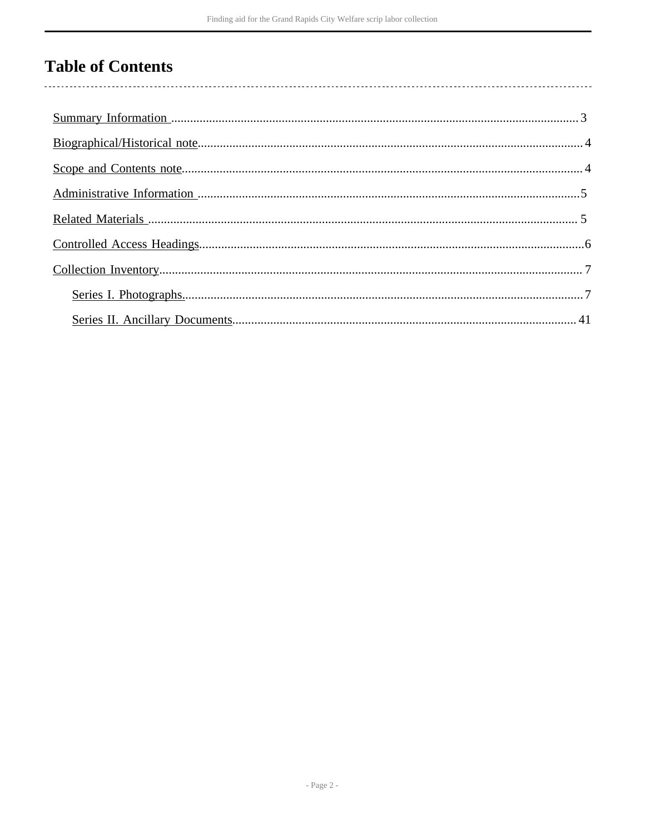# **Table of Contents**

 $\overline{\phantom{a}}$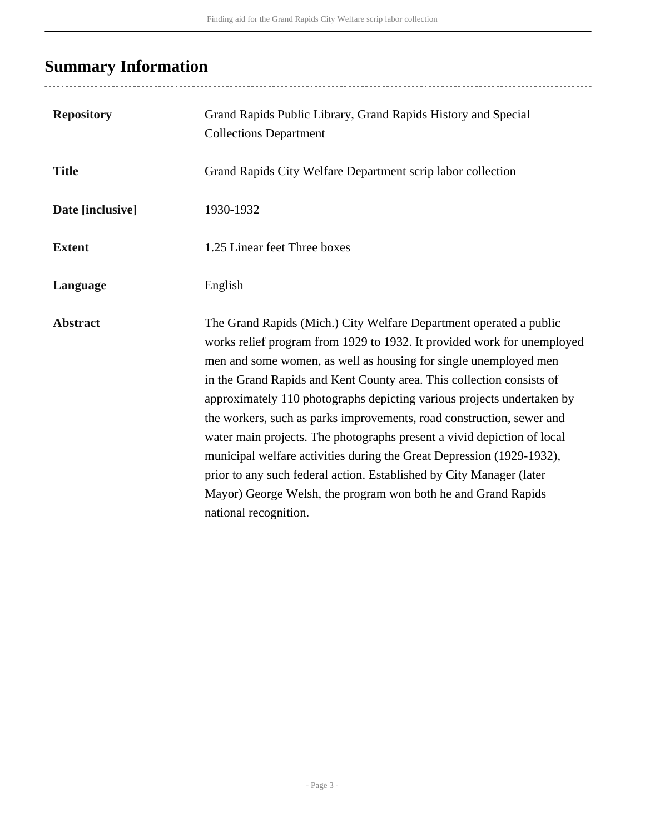# <span id="page-2-0"></span>**Summary Information**

..................................

| <b>Repository</b> | Grand Rapids Public Library, Grand Rapids History and Special<br><b>Collections Department</b>                                                                                                                                                                                                                                                                                                                                                                                                                                                                                                                                                                                                                                                                      |
|-------------------|---------------------------------------------------------------------------------------------------------------------------------------------------------------------------------------------------------------------------------------------------------------------------------------------------------------------------------------------------------------------------------------------------------------------------------------------------------------------------------------------------------------------------------------------------------------------------------------------------------------------------------------------------------------------------------------------------------------------------------------------------------------------|
| <b>Title</b>      | Grand Rapids City Welfare Department scrip labor collection                                                                                                                                                                                                                                                                                                                                                                                                                                                                                                                                                                                                                                                                                                         |
| Date [inclusive]  | 1930-1932                                                                                                                                                                                                                                                                                                                                                                                                                                                                                                                                                                                                                                                                                                                                                           |
| <b>Extent</b>     | 1.25 Linear feet Three boxes                                                                                                                                                                                                                                                                                                                                                                                                                                                                                                                                                                                                                                                                                                                                        |
| Language          | English                                                                                                                                                                                                                                                                                                                                                                                                                                                                                                                                                                                                                                                                                                                                                             |
| <b>Abstract</b>   | The Grand Rapids (Mich.) City Welfare Department operated a public<br>works relief program from 1929 to 1932. It provided work for unemployed<br>men and some women, as well as housing for single unemployed men<br>in the Grand Rapids and Kent County area. This collection consists of<br>approximately 110 photographs depicting various projects undertaken by<br>the workers, such as parks improvements, road construction, sewer and<br>water main projects. The photographs present a vivid depiction of local<br>municipal welfare activities during the Great Depression (1929-1932),<br>prior to any such federal action. Established by City Manager (later<br>Mayor) George Welsh, the program won both he and Grand Rapids<br>national recognition. |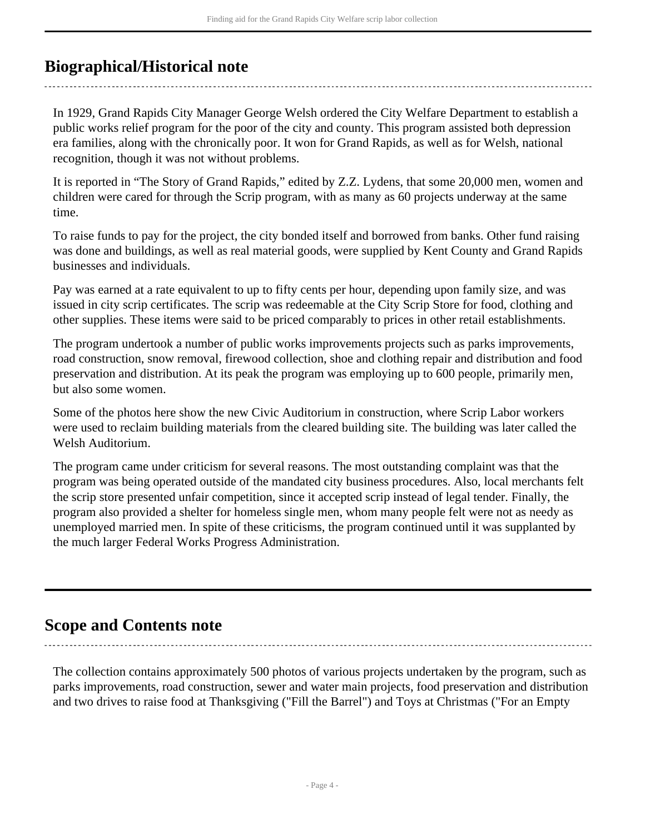## <span id="page-3-0"></span>**Biographical/Historical note**

In 1929, Grand Rapids City Manager George Welsh ordered the City Welfare Department to establish a public works relief program for the poor of the city and county. This program assisted both depression era families, along with the chronically poor. It won for Grand Rapids, as well as for Welsh, national recognition, though it was not without problems.

It is reported in "The Story of Grand Rapids," edited by Z.Z. Lydens, that some 20,000 men, women and children were cared for through the Scrip program, with as many as 60 projects underway at the same time.

To raise funds to pay for the project, the city bonded itself and borrowed from banks. Other fund raising was done and buildings, as well as real material goods, were supplied by Kent County and Grand Rapids businesses and individuals.

Pay was earned at a rate equivalent to up to fifty cents per hour, depending upon family size, and was issued in city scrip certificates. The scrip was redeemable at the City Scrip Store for food, clothing and other supplies. These items were said to be priced comparably to prices in other retail establishments.

The program undertook a number of public works improvements projects such as parks improvements, road construction, snow removal, firewood collection, shoe and clothing repair and distribution and food preservation and distribution. At its peak the program was employing up to 600 people, primarily men, but also some women.

Some of the photos here show the new Civic Auditorium in construction, where Scrip Labor workers were used to reclaim building materials from the cleared building site. The building was later called the Welsh Auditorium.

The program came under criticism for several reasons. The most outstanding complaint was that the program was being operated outside of the mandated city business procedures. Also, local merchants felt the scrip store presented unfair competition, since it accepted scrip instead of legal tender. Finally, the program also provided a shelter for homeless single men, whom many people felt were not as needy as unemployed married men. In spite of these criticisms, the program continued until it was supplanted by the much larger Federal Works Progress Administration.

### <span id="page-3-1"></span>**Scope and Contents note**

The collection contains approximately 500 photos of various projects undertaken by the program, such as parks improvements, road construction, sewer and water main projects, food preservation and distribution and two drives to raise food at Thanksgiving ("Fill the Barrel") and Toys at Christmas ("For an Empty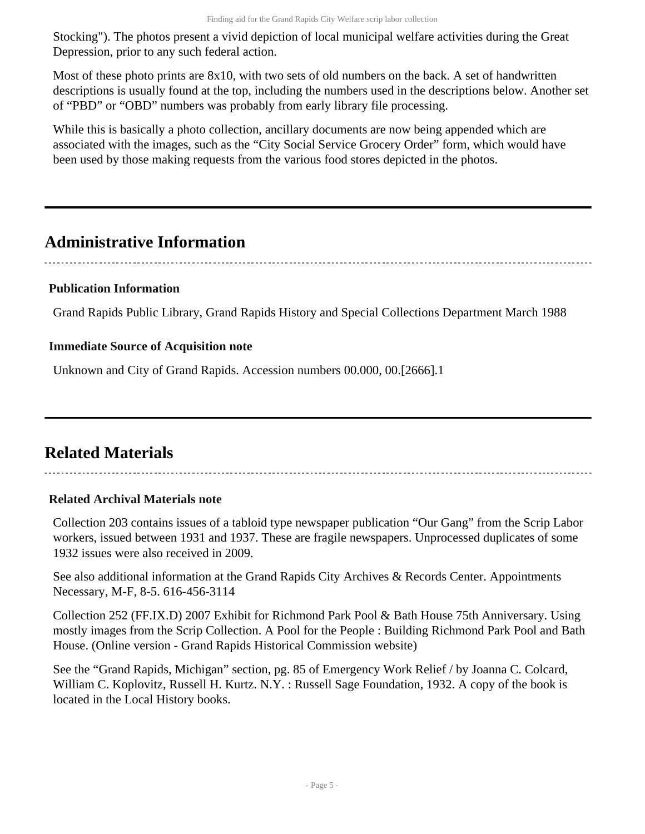Stocking"). The photos present a vivid depiction of local municipal welfare activities during the Great Depression, prior to any such federal action.

Most of these photo prints are 8x10, with two sets of old numbers on the back. A set of handwritten descriptions is usually found at the top, including the numbers used in the descriptions below. Another set of "PBD" or "OBD" numbers was probably from early library file processing.

While this is basically a photo collection, ancillary documents are now being appended which are associated with the images, such as the "City Social Service Grocery Order" form, which would have been used by those making requests from the various food stores depicted in the photos.

## <span id="page-4-0"></span>**Administrative Information**

#### **Publication Information**

Grand Rapids Public Library, Grand Rapids History and Special Collections Department March 1988

#### **Immediate Source of Acquisition note**

Unknown and City of Grand Rapids. Accession numbers 00.000, 00.[2666].1

# <span id="page-4-1"></span>**Related Materials**

#### **Related Archival Materials note**

Collection 203 contains issues of a tabloid type newspaper publication "Our Gang" from the Scrip Labor workers, issued between 1931 and 1937. These are fragile newspapers. Unprocessed duplicates of some 1932 issues were also received in 2009.

See also additional information at the Grand Rapids City Archives & Records Center. Appointments Necessary, M-F, 8-5. 616-456-3114

Collection 252 (FF.IX.D) 2007 Exhibit for Richmond Park Pool & Bath House 75th Anniversary. Using mostly images from the Scrip Collection. A Pool for the People : Building Richmond Park Pool and Bath House. (Online version - Grand Rapids Historical Commission website)

See the "Grand Rapids, Michigan" section, pg. 85 of Emergency Work Relief / by Joanna C. Colcard, William C. Koplovitz, Russell H. Kurtz. N.Y. : Russell Sage Foundation, 1932. A copy of the book is located in the Local History books.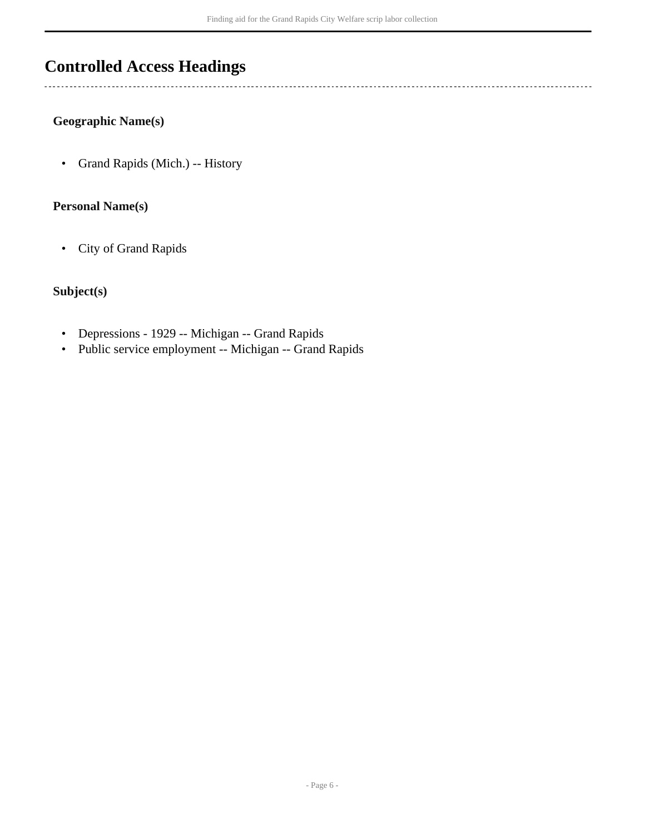# <span id="page-5-0"></span>**Controlled Access Headings**

#### **Geographic Name(s)**

 $\overline{a}$ 

• Grand Rapids (Mich.) -- History

#### **Personal Name(s)**

• City of Grand Rapids

### **Subject(s)**

- Depressions 1929 -- Michigan -- Grand Rapids
- Public service employment -- Michigan -- Grand Rapids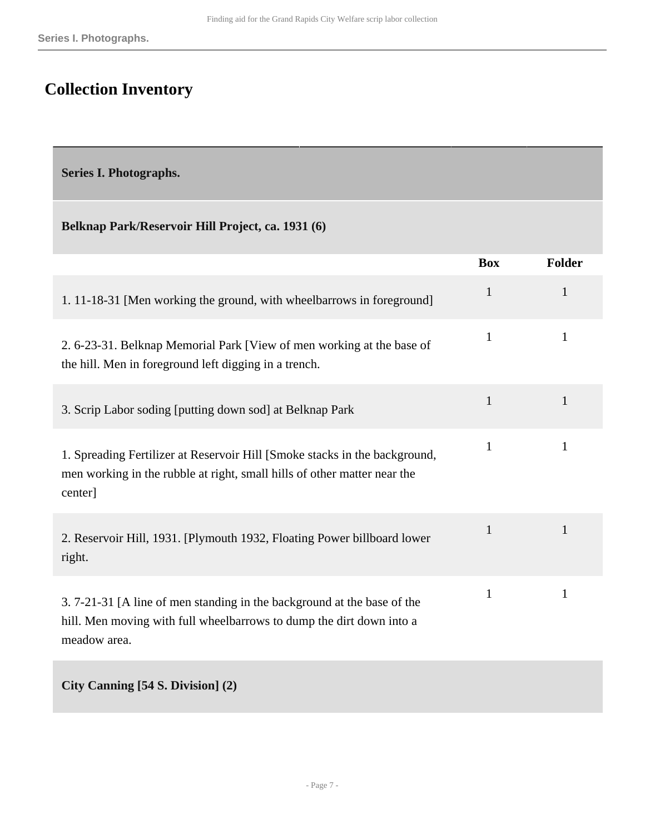# <span id="page-6-0"></span>**Collection Inventory**

<span id="page-6-1"></span>**Series I. Photographs.** 

#### **Belknap Park/Reservoir Hill Project, ca. 1931 (6)**

|                                                                                                                                                                   | <b>Box</b>   | <b>Folder</b> |
|-------------------------------------------------------------------------------------------------------------------------------------------------------------------|--------------|---------------|
| 1. 11-18-31 [Men working the ground, with wheelbarrows in foreground]                                                                                             | $\mathbf{1}$ | $\mathbf{1}$  |
| 2. 6-23-31. Belknap Memorial Park [View of men working at the base of<br>the hill. Men in foreground left digging in a trench.                                    | $\mathbf{1}$ | $\mathbf{1}$  |
| 3. Scrip Labor soding [putting down sod] at Belknap Park                                                                                                          | $\mathbf{1}$ | 1             |
| 1. Spreading Fertilizer at Reservoir Hill [Smoke stacks in the background,<br>men working in the rubble at right, small hills of other matter near the<br>center] | $\mathbf{1}$ | $\mathbf{1}$  |
| 2. Reservoir Hill, 1931. [Plymouth 1932, Floating Power billboard lower<br>right.                                                                                 | $\mathbf{1}$ | 1             |
| 3.7-21-31 [A line of men standing in the background at the base of the<br>hill. Men moving with full wheelbarrows to dump the dirt down into a<br>meadow area.    | $\mathbf{1}$ | 1             |
| City Canning [54 S. Division] (2)                                                                                                                                 |              |               |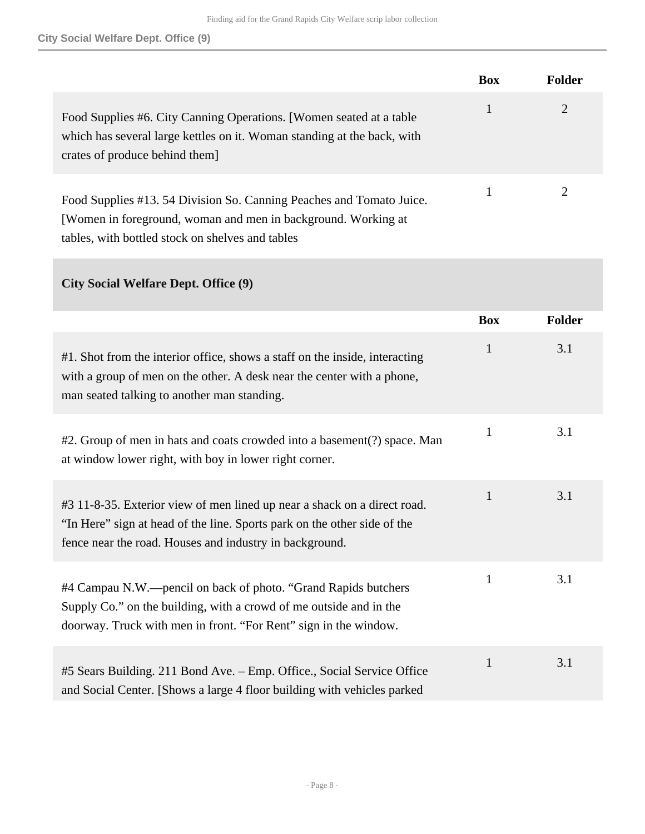|                                                                                                                                                                                          | <b>Box</b> | <b>Folder</b> |
|------------------------------------------------------------------------------------------------------------------------------------------------------------------------------------------|------------|---------------|
| Food Supplies #6. City Canning Operations. [Women seated at a table<br>which has several large kettles on it. Woman standing at the back, with<br>crates of produce behind them.         |            | 2             |
| Food Supplies #13.54 Division So. Canning Peaches and Tomato Juice.<br>[Women in foreground, woman and men in background. Working at<br>tables, with bottled stock on shelves and tables |            | 2             |

#### **City Social Welfare Dept. Office (9)**

|                                                                                                                                                                                                                 | <b>Box</b>   | <b>Folder</b> |
|-----------------------------------------------------------------------------------------------------------------------------------------------------------------------------------------------------------------|--------------|---------------|
| #1. Shot from the interior office, shows a staff on the inside, interacting<br>with a group of men on the other. A desk near the center with a phone,<br>man seated talking to another man standing.            | 1            | 3.1           |
| #2. Group of men in hats and coats crowded into a basement(?) space. Man<br>at window lower right, with boy in lower right corner.                                                                              | 1            | 3.1           |
| #3 11-8-35. Exterior view of men lined up near a shack on a direct road.<br>"In Here" sign at head of the line. Sports park on the other side of the<br>fence near the road. Houses and industry in background. | $\mathbf{1}$ | 3.1           |
| #4 Campau N.W.—pencil on back of photo. "Grand Rapids butchers"<br>Supply Co." on the building, with a crowd of me outside and in the<br>doorway. Truck with men in front. "For Rent" sign in the window.       | $\mathbf{1}$ | 3.1           |
| #5 Sears Building. 211 Bond Ave. – Emp. Office., Social Service Office<br>and Social Center. [Shows a large 4 floor building with vehicles parked                                                               | 1            | 3.1           |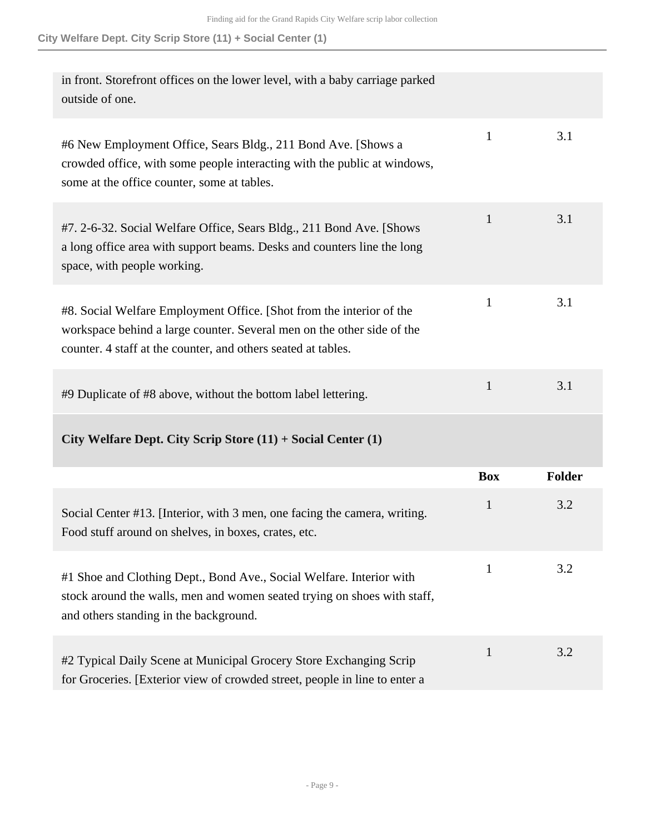| in front. Storefront offices on the lower level, with a baby carriage parked<br>outside of one.                                                                                                                 |              |        |
|-----------------------------------------------------------------------------------------------------------------------------------------------------------------------------------------------------------------|--------------|--------|
| #6 New Employment Office, Sears Bldg., 211 Bond Ave. [Shows a<br>crowded office, with some people interacting with the public at windows,<br>some at the office counter, some at tables.                        | $\mathbf{1}$ | 3.1    |
| #7. 2-6-32. Social Welfare Office, Sears Bldg., 211 Bond Ave. [Shows]<br>a long office area with support beams. Desks and counters line the long<br>space, with people working.                                 | 1            | 3.1    |
| #8. Social Welfare Employment Office. [Shot from the interior of the<br>workspace behind a large counter. Several men on the other side of the<br>counter. 4 staff at the counter, and others seated at tables. | $\mathbf{1}$ | 3.1    |
| #9 Duplicate of #8 above, without the bottom label lettering.                                                                                                                                                   | $\mathbf{1}$ | 3.1    |
| City Welfare Dept. City Scrip Store $(11) +$ Social Center $(1)$                                                                                                                                                |              |        |
|                                                                                                                                                                                                                 | <b>Box</b>   | Folder |
| Social Center #13. [Interior, with 3 men, one facing the camera, writing.<br>Food stuff around on shelves, in boxes, crates, etc.                                                                               | 1            | 3.2    |
| #1 Shoe and Clothing Dept., Bond Ave., Social Welfare. Interior with<br>stock around the walls, men and women seated trying on shoes with staff,<br>and others standing in the background.                      | 1            | 3.2    |
| #2 Typical Daily Scene at Municipal Grocery Store Exchanging Scrip<br>for Groceries. [Exterior view of crowded street, people in line to enter a                                                                | 1            | 3.2    |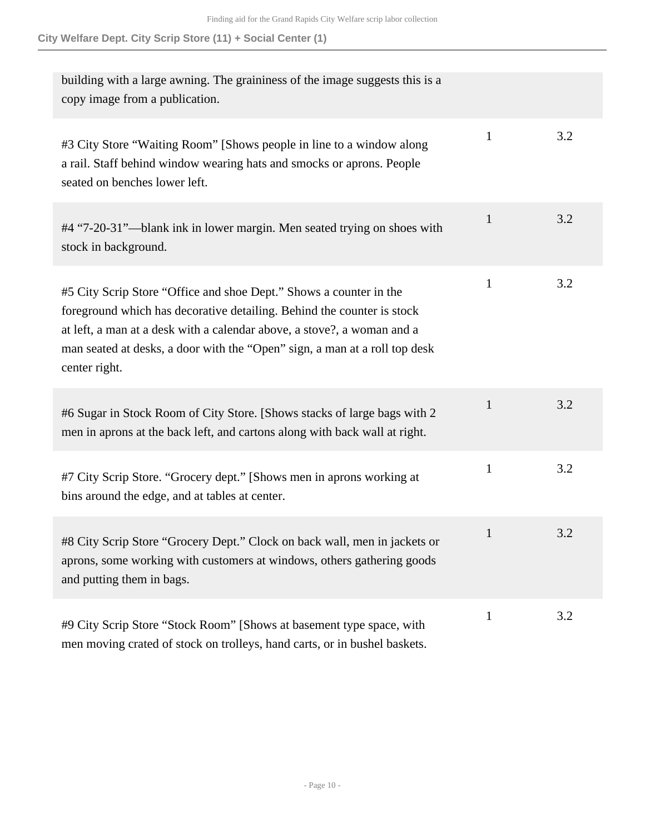| building with a large awning. The graininess of the image suggests this is a<br>copy image from a publication.                                                                                                                                                                                                         |              |     |
|------------------------------------------------------------------------------------------------------------------------------------------------------------------------------------------------------------------------------------------------------------------------------------------------------------------------|--------------|-----|
| #3 City Store "Waiting Room" [Shows people in line to a window along<br>a rail. Staff behind window wearing hats and smocks or aprons. People<br>seated on benches lower left.                                                                                                                                         | $\mathbf{1}$ | 3.2 |
| #4 "7-20-31"—blank ink in lower margin. Men seated trying on shoes with<br>stock in background.                                                                                                                                                                                                                        | 1            | 3.2 |
| #5 City Scrip Store "Office and shoe Dept." Shows a counter in the<br>foreground which has decorative detailing. Behind the counter is stock<br>at left, a man at a desk with a calendar above, a stove?, a woman and a<br>man seated at desks, a door with the "Open" sign, a man at a roll top desk<br>center right. | $\mathbf{1}$ | 3.2 |
| #6 Sugar in Stock Room of City Store. [Shows stacks of large bags with 2<br>men in aprons at the back left, and cartons along with back wall at right.                                                                                                                                                                 | $\mathbf{1}$ | 3.2 |
| #7 City Scrip Store. "Grocery dept." [Shows men in aprons working at<br>bins around the edge, and at tables at center.                                                                                                                                                                                                 | 1            | 3.2 |
| #8 City Scrip Store "Grocery Dept." Clock on back wall, men in jackets or<br>aprons, some working with customers at windows, others gathering goods<br>and putting them in bags.                                                                                                                                       | $\mathbf{1}$ | 3.2 |
| #9 City Scrip Store "Stock Room" [Shows at basement type space, with<br>men moving crated of stock on trolleys, hand carts, or in bushel baskets.                                                                                                                                                                      | $\mathbf{1}$ | 3.2 |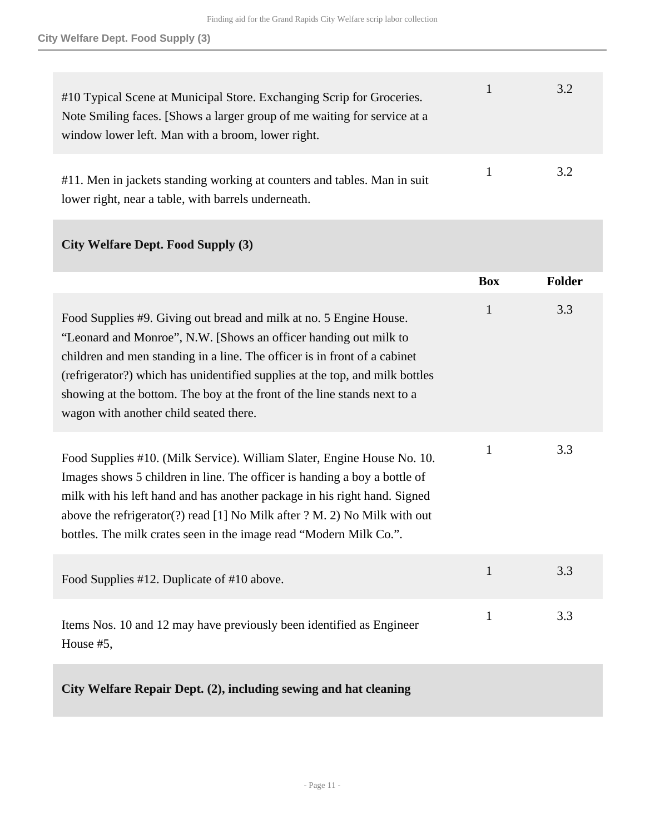| #10 Typical Scene at Municipal Store. Exchanging Scrip for Groceries.<br>Note Smiling faces. [Shows a larger group of me waiting for service at a<br>window lower left. Man with a broom, lower right. | 3.2 |
|--------------------------------------------------------------------------------------------------------------------------------------------------------------------------------------------------------|-----|
| #11. Men in jackets standing working at counters and tables. Man in suit<br>lower right, near a table, with barrels underneath.                                                                        | 3.2 |

### **City Welfare Dept. Food Supply (3)**

|                                                                                                                                                                                                                                                                                                                                                                                                                           | <b>Box</b>   | <b>Folder</b> |
|---------------------------------------------------------------------------------------------------------------------------------------------------------------------------------------------------------------------------------------------------------------------------------------------------------------------------------------------------------------------------------------------------------------------------|--------------|---------------|
| Food Supplies #9. Giving out bread and milk at no. 5 Engine House.<br>"Leonard and Monroe", N.W. [Shows an officer handing out milk to<br>children and men standing in a line. The officer is in front of a cabinet<br>(refrigerator?) which has unidentified supplies at the top, and milk bottles<br>showing at the bottom. The boy at the front of the line stands next to a<br>wagon with another child seated there. | $\mathbf{1}$ | 3.3           |
| Food Supplies #10. (Milk Service). William Slater, Engine House No. 10.<br>Images shows 5 children in line. The officer is handing a boy a bottle of<br>milk with his left hand and has another package in his right hand. Signed<br>above the refrigerator(?) read [1] No Milk after ? M. 2) No Milk with out<br>bottles. The milk crates seen in the image read "Modern Milk Co.".                                      | $\mathbf{1}$ | 3.3           |
| Food Supplies #12. Duplicate of #10 above.                                                                                                                                                                                                                                                                                                                                                                                | $\mathbf{1}$ | 3.3           |
| Items Nos. 10 and 12 may have previously been identified as Engineer<br>House #5,                                                                                                                                                                                                                                                                                                                                         | $\mathbf{1}$ | 3.3           |
| City Welfare Repair Dept. (2), including sewing and hat cleaning                                                                                                                                                                                                                                                                                                                                                          |              |               |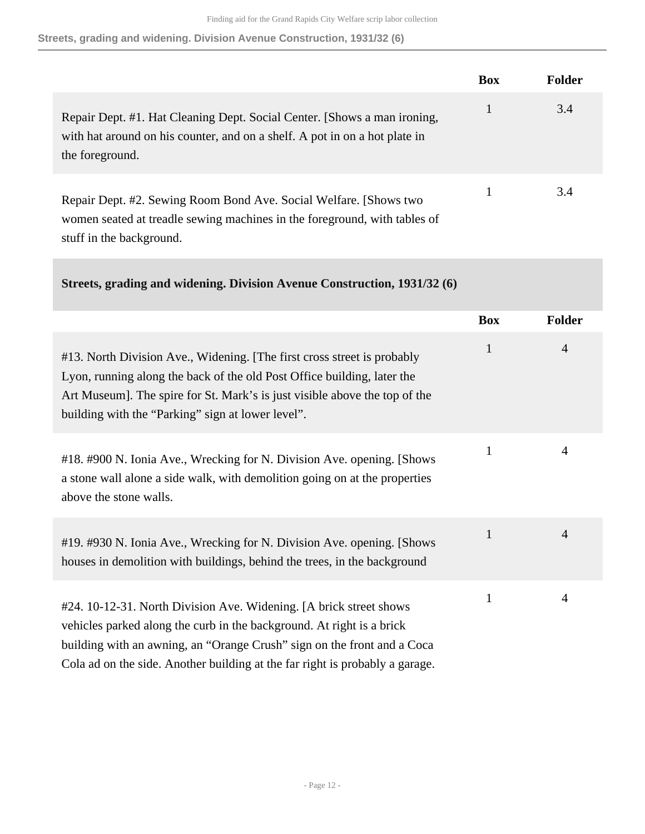**Streets, grading and widening. Division Avenue Construction, 1931/32 (6)**

|                                                                                                                                                                            | <b>Box</b> | <b>Folder</b> |
|----------------------------------------------------------------------------------------------------------------------------------------------------------------------------|------------|---------------|
| Repair Dept. #1. Hat Cleaning Dept. Social Center. [Shows a man ironing,<br>with hat around on his counter, and on a shelf. A pot in on a hot plate in<br>the foreground.  |            | 3.4           |
| Repair Dept. #2. Sewing Room Bond Ave. Social Welfare. [Shows two<br>women seated at treadle sewing machines in the foreground, with tables of<br>stuff in the background. |            | 3.4           |

|  |  | Streets, grading and widening. Division Avenue Construction, 1931/32 (6) |  |
|--|--|--------------------------------------------------------------------------|--|

|                                                                                                                                                                                                                                                                                                        | <b>Box</b>   | Folder         |
|--------------------------------------------------------------------------------------------------------------------------------------------------------------------------------------------------------------------------------------------------------------------------------------------------------|--------------|----------------|
| #13. North Division Ave., Widening. [The first cross street is probably<br>Lyon, running along the back of the old Post Office building, later the<br>Art Museum]. The spire for St. Mark's is just visible above the top of the<br>building with the "Parking" sign at lower level".                  | $\mathbf{1}$ | $\overline{4}$ |
| #18. #900 N. Ionia Ave., Wrecking for N. Division Ave. opening. [Shows]<br>a stone wall alone a side walk, with demolition going on at the properties<br>above the stone walls.                                                                                                                        | 1            | 4              |
| #19. #930 N. Ionia Ave., Wrecking for N. Division Ave. opening. [Shows]<br>houses in demolition with buildings, behind the trees, in the background                                                                                                                                                    | $\mathbf{1}$ | $\overline{4}$ |
| #24. 10-12-31. North Division Ave. Widening. [A brick street shows<br>vehicles parked along the curb in the background. At right is a brick<br>building with an awning, an "Orange Crush" sign on the front and a Coca<br>Cola ad on the side. Another building at the far right is probably a garage. | $\mathbf{1}$ | $\overline{4}$ |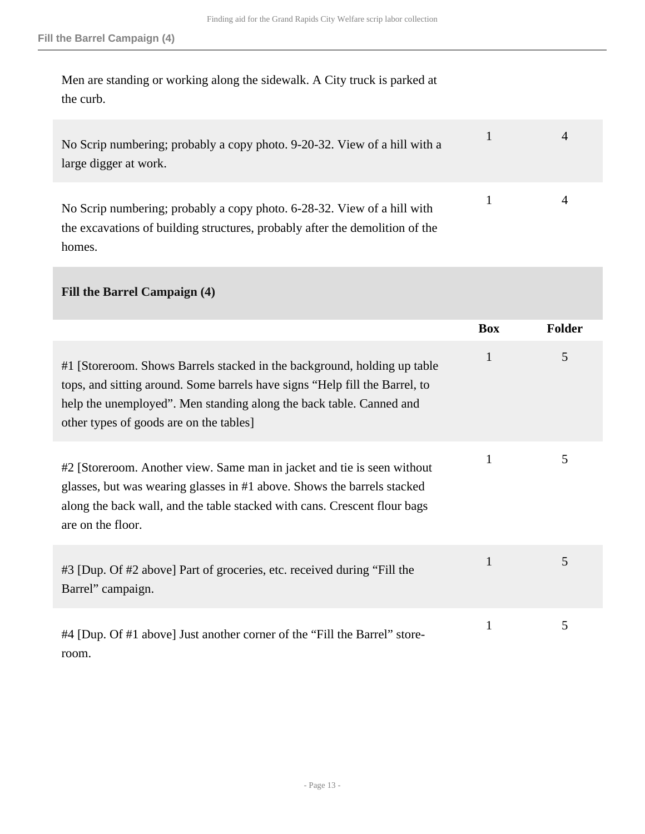Men are standing or working along the sidewalk. A City truck is parked at the curb.

| No Scrip numbering; probably a copy photo. 9-20-32. View of a hill with a<br>large digger at work.                                                      |  |
|---------------------------------------------------------------------------------------------------------------------------------------------------------|--|
| No Scrip numbering; probably a copy photo. 6-28-32. View of a hill with<br>the excavations of building structures, probably after the demolition of the |  |

homes.

### **Fill the Barrel Campaign (4)**

|                                                                                                                                                                                                                                                                           | <b>Box</b> | <b>Folder</b> |
|---------------------------------------------------------------------------------------------------------------------------------------------------------------------------------------------------------------------------------------------------------------------------|------------|---------------|
| #1 [Storeroom. Shows Barrels stacked in the background, holding up table<br>tops, and sitting around. Some barrels have signs "Help fill the Barrel, to<br>help the unemployed". Men standing along the back table. Canned and<br>other types of goods are on the tables] | 1          | 5             |
| #2 [Storeroom. Another view. Same man in jacket and tie is seen without<br>glasses, but was wearing glasses in #1 above. Shows the barrels stacked<br>along the back wall, and the table stacked with cans. Crescent flour bags<br>are on the floor.                      | 1          | 5             |
| #3 [Dup. Of #2 above] Part of groceries, etc. received during "Fill the<br>Barrel" campaign.                                                                                                                                                                              | 1          | 5             |
| #4 [Dup. Of #1 above] Just another corner of the "Fill the Barrel" store-<br>room.                                                                                                                                                                                        |            | 5             |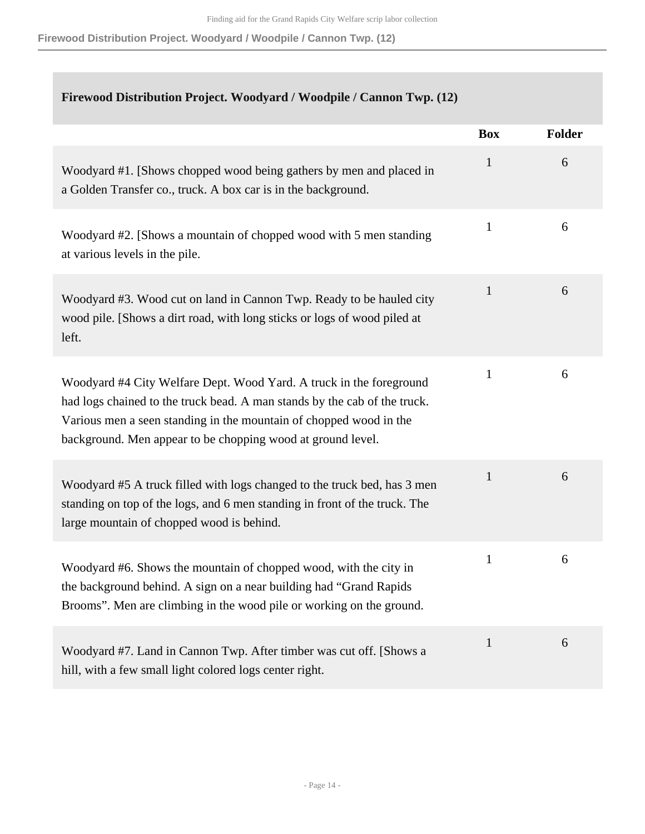**Firewood Distribution Project. Woodyard / Woodpile / Cannon Twp. (12)**

### **Firewood Distribution Project. Woodyard / Woodpile / Cannon Twp. (12)**

|                                                                                                                                                                                                                                                                                       | <b>Box</b>   | <b>Folder</b> |
|---------------------------------------------------------------------------------------------------------------------------------------------------------------------------------------------------------------------------------------------------------------------------------------|--------------|---------------|
| Woodyard #1. [Shows chopped wood being gathers by men and placed in<br>a Golden Transfer co., truck. A box car is in the background.                                                                                                                                                  | $\mathbf{1}$ | 6             |
| Woodyard #2. [Shows a mountain of chopped wood with 5 men standing<br>at various levels in the pile.                                                                                                                                                                                  | $\mathbf{1}$ | 6             |
| Woodyard #3. Wood cut on land in Cannon Twp. Ready to be hauled city<br>wood pile. [Shows a dirt road, with long sticks or logs of wood piled at<br>left.                                                                                                                             | $\mathbf{1}$ | 6             |
| Woodyard #4 City Welfare Dept. Wood Yard. A truck in the foreground<br>had logs chained to the truck bead. A man stands by the cab of the truck.<br>Various men a seen standing in the mountain of chopped wood in the<br>background. Men appear to be chopping wood at ground level. | $\mathbf{1}$ | 6             |
| Woodyard #5 A truck filled with logs changed to the truck bed, has 3 men<br>standing on top of the logs, and 6 men standing in front of the truck. The<br>large mountain of chopped wood is behind.                                                                                   | $\mathbf{1}$ | 6             |
| Woodyard #6. Shows the mountain of chopped wood, with the city in<br>the background behind. A sign on a near building had "Grand Rapids<br>Brooms". Men are climbing in the wood pile or working on the ground.                                                                       | $\mathbf{1}$ | 6             |
| Woodyard #7. Land in Cannon Twp. After timber was cut off. [Shows a<br>hill, with a few small light colored logs center right.                                                                                                                                                        | $\mathbf{1}$ | 6             |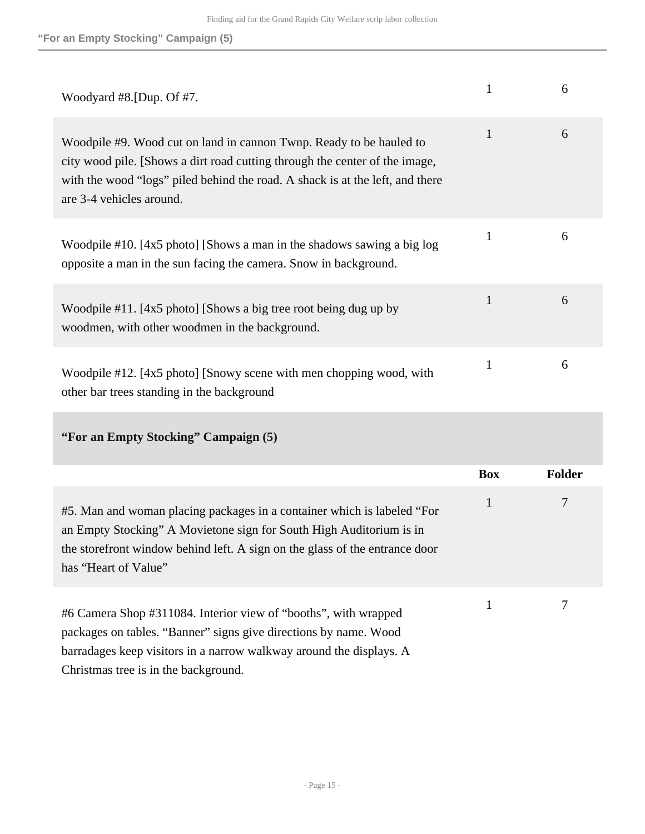| Woodyard #8. [Dup. Of $#7$ .                                                                                                                                                                                                                                    |              | 6 |
|-----------------------------------------------------------------------------------------------------------------------------------------------------------------------------------------------------------------------------------------------------------------|--------------|---|
| Woodpile #9. Wood cut on land in cannon Twnp. Ready to be hauled to<br>city wood pile. [Shows a dirt road cutting through the center of the image,<br>with the wood "logs" piled behind the road. A shack is at the left, and there<br>are 3-4 vehicles around. | 1            | 6 |
| Woodpile #10. [4x5 photo] [Shows a man in the shadows sawing a big log<br>opposite a man in the sun facing the camera. Snow in background.                                                                                                                      | $\mathbf{1}$ | 6 |
| Woodpile #11. [4x5 photo] [Shows a big tree root being dug up by<br>woodmen, with other woodmen in the background.                                                                                                                                              | 1            | 6 |
| Woodpile #12. [4x5 photo] [Snowy scene with men chopping wood, with<br>other bar trees standing in the background                                                                                                                                               | 1            | 6 |

## **"For an Empty Stocking" Campaign (5)**

|                                                                                                                                                                                                                                                        | <b>Box</b> | <b>Folder</b> |
|--------------------------------------------------------------------------------------------------------------------------------------------------------------------------------------------------------------------------------------------------------|------------|---------------|
| #5. Man and woman placing packages in a container which is labeled "For<br>an Empty Stocking" A Movietone sign for South High Auditorium is in<br>the store front window behind left. A sign on the glass of the entrance door<br>has "Heart of Value" | 1          | 7             |
| #6 Camera Shop #311084. Interior view of "booths", with wrapped<br>packages on tables. "Banner" signs give directions by name. Wood<br>barradages keep visitors in a narrow walkway around the displays. A<br>Christmas tree is in the background.     |            |               |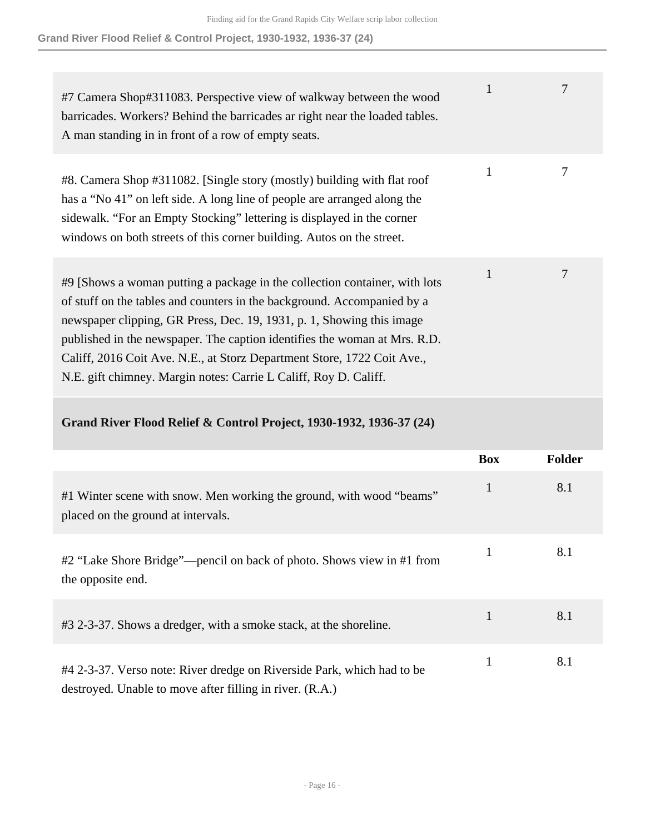**Grand River Flood Relief & Control Project, 1930-1932, 1936-37 (24)**

| #7 Camera Shop#311083. Perspective view of walkway between the wood<br>barricades. Workers? Behind the barricades ar right near the loaded tables.<br>A man standing in in front of a row of empty seats.                                                                                                                                                                                                                                                  | 1 |   |
|------------------------------------------------------------------------------------------------------------------------------------------------------------------------------------------------------------------------------------------------------------------------------------------------------------------------------------------------------------------------------------------------------------------------------------------------------------|---|---|
| #8. Camera Shop #311082. [Single story (mostly) building with flat roof<br>has a "No 41" on left side. A long line of people are arranged along the<br>sidewalk. "For an Empty Stocking" lettering is displayed in the corner<br>windows on both streets of this corner building. Autos on the street.                                                                                                                                                     | 1 | 7 |
| #9 [Shows a woman putting a package in the collection container, with lots<br>of stuff on the tables and counters in the background. Accompanied by a<br>newspaper clipping, GR Press, Dec. 19, 1931, p. 1, Showing this image<br>published in the newspaper. The caption identifies the woman at Mrs. R.D.<br>Califf, 2016 Coit Ave. N.E., at Storz Department Store, 1722 Coit Ave.,<br>N.E. gift chimney. Margin notes: Carrie L Califf, Roy D. Califf. | 1 | 7 |

#### **Grand River Flood Relief & Control Project, 1930-1932, 1936-37 (24)**

|                                                                                                                                    | <b>Box</b>   | <b>Folder</b> |
|------------------------------------------------------------------------------------------------------------------------------------|--------------|---------------|
| #1 Winter scene with snow. Men working the ground, with wood "beams"<br>placed on the ground at intervals.                         | $\mathbf{1}$ | 8.1           |
| #2 "Lake Shore Bridge"—pencil on back of photo. Shows view in #1 from<br>the opposite end.                                         | 1            | 8.1           |
| #3 2-3-37. Shows a dredger, with a smoke stack, at the shoreline.                                                                  | 1            | 8.1           |
| #4 2-3-37. Verso note: River dredge on Riverside Park, which had to be<br>destroyed. Unable to move after filling in river. (R.A.) |              | 8.1           |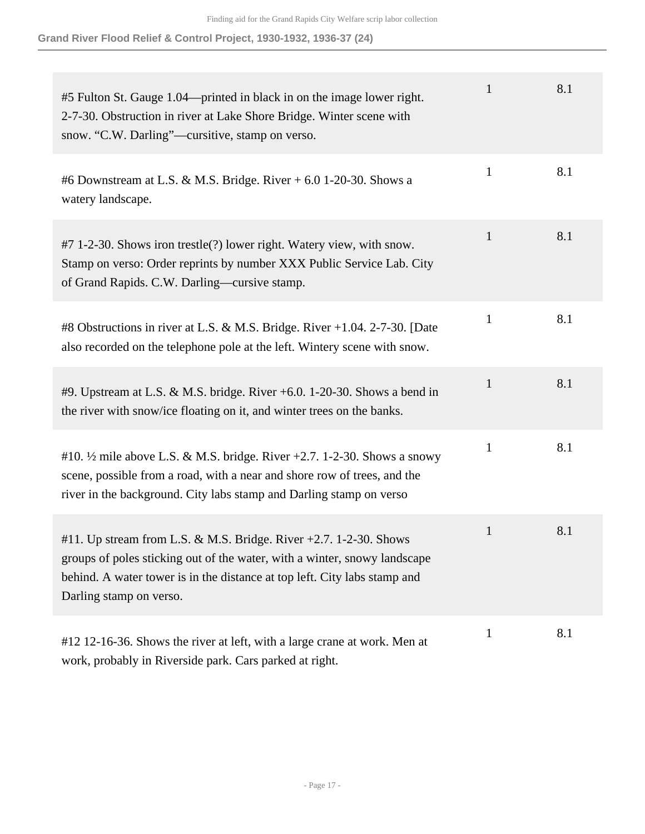**Grand River Flood Relief & Control Project, 1930-1932, 1936-37 (24)**

| #5 Fulton St. Gauge 1.04—printed in black in on the image lower right.<br>2-7-30. Obstruction in river at Lake Shore Bridge. Winter scene with<br>snow. "C.W. Darling"—cursitive, stamp on verso.                                                      | $\mathbf{1}$ | 8.1 |
|--------------------------------------------------------------------------------------------------------------------------------------------------------------------------------------------------------------------------------------------------------|--------------|-----|
| #6 Downstream at L.S. & M.S. Bridge. River $+$ 6.0 1-20-30. Shows a<br>watery landscape.                                                                                                                                                               | $\mathbf{1}$ | 8.1 |
| #7 1-2-30. Shows iron trestle(?) lower right. Watery view, with snow.<br>Stamp on verso: Order reprints by number XXX Public Service Lab. City<br>of Grand Rapids. C.W. Darling—cursive stamp.                                                         | $\mathbf{1}$ | 8.1 |
| #8 Obstructions in river at L.S. & M.S. Bridge. River +1.04. 2-7-30. [Date<br>also recorded on the telephone pole at the left. Wintery scene with snow.                                                                                                | $\mathbf{1}$ | 8.1 |
| #9. Upstream at L.S. & M.S. bridge. River +6.0. 1-20-30. Shows a bend in<br>the river with snow/ice floating on it, and winter trees on the banks.                                                                                                     | $\mathbf{1}$ | 8.1 |
| #10. $\frac{1}{2}$ mile above L.S. & M.S. bridge. River +2.7. 1-2-30. Shows a snowy<br>scene, possible from a road, with a near and shore row of trees, and the<br>river in the background. City labs stamp and Darling stamp on verso                 | $\mathbf{1}$ | 8.1 |
| #11. Up stream from L.S. & M.S. Bridge. River +2.7. 1-2-30. Shows<br>groups of poles sticking out of the water, with a winter, snowy landscape<br>behind. A water tower is in the distance at top left. City labs stamp and<br>Darling stamp on verso. | $\mathbf{1}$ | 8.1 |
| #12 12-16-36. Shows the river at left, with a large crane at work. Men at<br>work, probably in Riverside park. Cars parked at right.                                                                                                                   | $\mathbf{1}$ | 8.1 |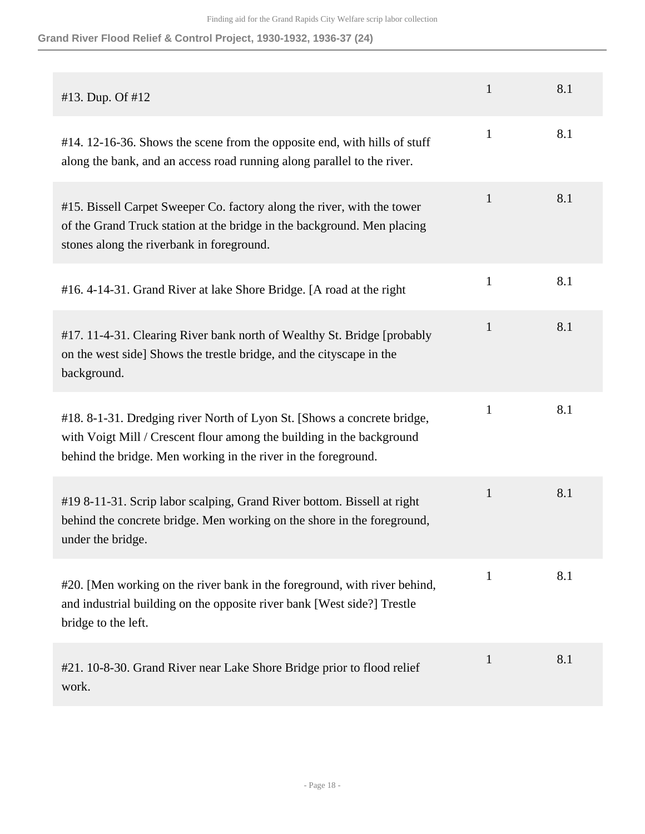**Grand River Flood Relief & Control Project, 1930-1932, 1936-37 (24)**

| #13. Dup. Of #12                                                                                                                                                                                                   | $\mathbf{1}$ | 8.1 |
|--------------------------------------------------------------------------------------------------------------------------------------------------------------------------------------------------------------------|--------------|-----|
| #14. 12-16-36. Shows the scene from the opposite end, with hills of stuff<br>along the bank, and an access road running along parallel to the river.                                                               | $\mathbf{1}$ | 8.1 |
| #15. Bissell Carpet Sweeper Co. factory along the river, with the tower<br>of the Grand Truck station at the bridge in the background. Men placing<br>stones along the riverbank in foreground.                    | $\mathbf{1}$ | 8.1 |
| #16.4-14-31. Grand River at lake Shore Bridge. [A road at the right                                                                                                                                                | $\mathbf{1}$ | 8.1 |
| #17. 11-4-31. Clearing River bank north of Wealthy St. Bridge [probably<br>on the west side] Shows the trestle bridge, and the cityscape in the<br>background.                                                     | $\mathbf{1}$ | 8.1 |
| #18. 8-1-31. Dredging river North of Lyon St. [Shows a concrete bridge,<br>with Voigt Mill / Crescent flour among the building in the background<br>behind the bridge. Men working in the river in the foreground. | $\mathbf{1}$ | 8.1 |
| #19 8-11-31. Scrip labor scalping, Grand River bottom. Bissell at right<br>behind the concrete bridge. Men working on the shore in the foreground,<br>under the bridge.                                            | $\mathbf{1}$ | 8.1 |
| #20. [Men working on the river bank in the foreground, with river behind,<br>and industrial building on the opposite river bank [West side?] Trestle<br>bridge to the left.                                        | $\mathbf{1}$ | 8.1 |
| #21. 10-8-30. Grand River near Lake Shore Bridge prior to flood relief<br>work.                                                                                                                                    | $\mathbf{1}$ | 8.1 |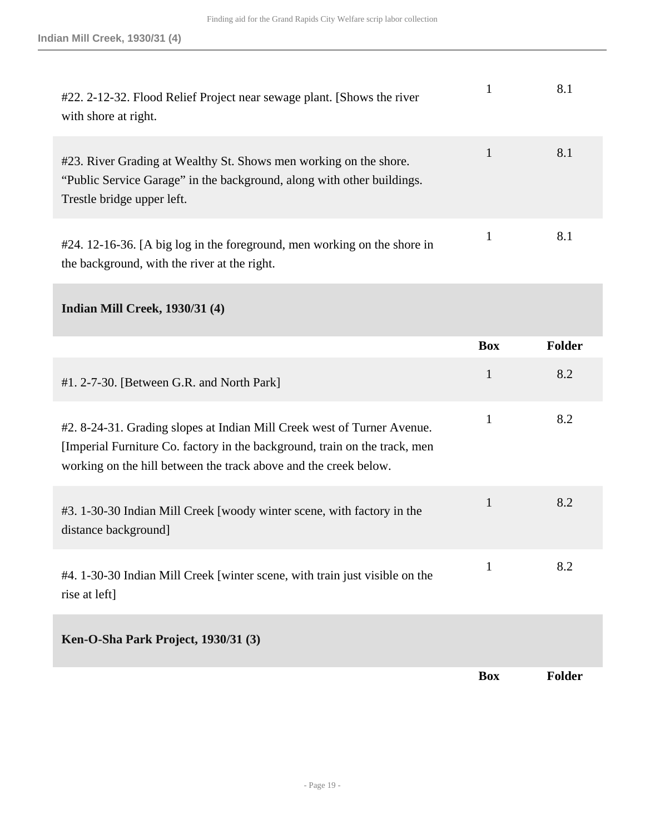| #22. 2-12-32. Flood Relief Project near sewage plant. [Shows the river<br>with shore at right.                                                                            | 8.1 |
|---------------------------------------------------------------------------------------------------------------------------------------------------------------------------|-----|
| #23. River Grading at Wealthy St. Shows men working on the shore.<br>"Public Service Garage" in the background, along with other buildings.<br>Trestle bridge upper left. | 8.1 |
| #24. 12-16-36. [A big log in the foreground, men working on the shore in<br>the background, with the river at the right.                                                  | 8.1 |

**Indian Mill Creek, 1930/31 (4)** 

|                                                                                                                                                                                                                           | <b>Box</b>   | <b>Folder</b> |
|---------------------------------------------------------------------------------------------------------------------------------------------------------------------------------------------------------------------------|--------------|---------------|
| #1. 2-7-30. [Between G.R. and North Park]                                                                                                                                                                                 | $\mathbf{1}$ | 8.2           |
| #2. 8-24-31. Grading slopes at Indian Mill Creek west of Turner Avenue.<br>[Imperial Furniture Co. factory in the background, train on the track, men<br>working on the hill between the track above and the creek below. | $\mathbf{1}$ | 8.2           |
| #3. 1-30-30 Indian Mill Creek [woody winter scene, with factory in the<br>distance background]                                                                                                                            | $\mathbf{1}$ | 8.2           |
| #4. 1-30-30 Indian Mill Creek [winter scene, with train just visible on the<br>rise at left]                                                                                                                              | $\mathbf{1}$ | 8.2           |
| Ken-O-Sha Park Project, 1930/31 (3)                                                                                                                                                                                       |              |               |
|                                                                                                                                                                                                                           | <b>Box</b>   | <b>Folder</b> |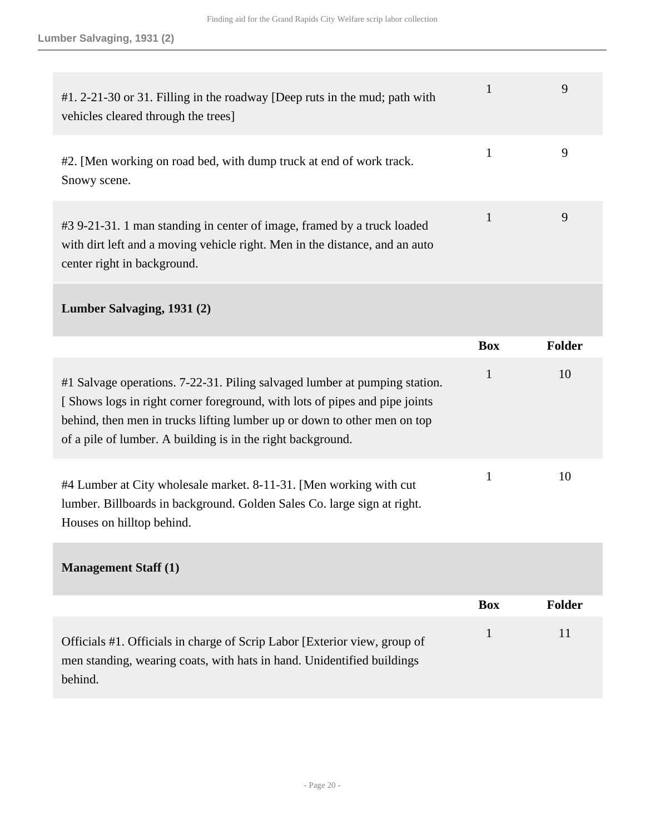| #1. 2-21-30 or 31. Filling in the roadway [Deep ruts in the mud; path with<br>vehicles cleared through the trees]                                                                     | 9 |
|---------------------------------------------------------------------------------------------------------------------------------------------------------------------------------------|---|
| #2. [Men working on road bed, with dump truck at end of work track.<br>Snowy scene.                                                                                                   | 9 |
| #3 9-21-31. 1 man standing in center of image, framed by a truck loaded<br>with dirt left and a moving vehicle right. Men in the distance, and an auto<br>center right in background. | 9 |

### **Lumber Salvaging, 1931 (2)**

|                                                                                                                                                                                                                                                                                                     | <b>Box</b> | <b>Folder</b> |
|-----------------------------------------------------------------------------------------------------------------------------------------------------------------------------------------------------------------------------------------------------------------------------------------------------|------------|---------------|
| #1 Salvage operations. 7-22-31. Piling salvaged lumber at pumping station.<br>[Shows logs in right corner foreground, with lots of pipes and pipe joints<br>behind, then men in trucks lifting lumber up or down to other men on top<br>of a pile of lumber. A building is in the right background. |            | 10            |
| #4 Lumber at City wholesale market. 8-11-31. [Men working with cut<br>lumber. Billboards in background. Golden Sales Co. large sign at right.<br>Houses on hilltop behind.                                                                                                                          |            | 10            |

### **Management Staff (1)**

|                                                                                                                                                                | <b>Box</b> | Folder |
|----------------------------------------------------------------------------------------------------------------------------------------------------------------|------------|--------|
| Officials #1. Officials in charge of Scrip Labor [Exterior view, group of<br>men standing, wearing coats, with hats in hand. Unidentified buildings<br>behind. |            | 11     |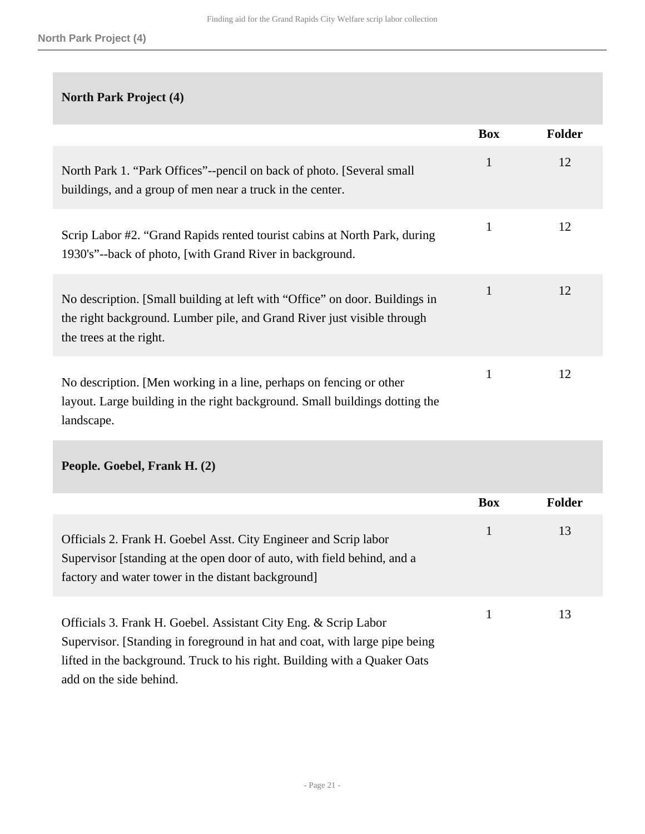### **North Park Project (4)**

|                                                                                                                                                                                   | <b>Box</b>   | <b>Folder</b> |
|-----------------------------------------------------------------------------------------------------------------------------------------------------------------------------------|--------------|---------------|
| North Park 1. "Park Offices"--pencil on back of photo. [Several small]<br>buildings, and a group of men near a truck in the center.                                               | $\mathbf{1}$ | 12            |
| Scrip Labor #2. "Grand Rapids rented tourist cabins at North Park, during<br>1930's"--back of photo, [with Grand River in background.                                             | $\mathbf{1}$ | 12            |
| No description. [Small building at left with "Office" on door. Buildings in<br>the right background. Lumber pile, and Grand River just visible through<br>the trees at the right. | $\mathbf{1}$ | 12            |
| No description. [Men working in a line, perhaps on fencing or other<br>layout. Large building in the right background. Small buildings dotting the<br>landscape.                  | 1            | 12            |

### **People. Goebel, Frank H. (2)**

|                                                                                                                                                                                                   | <b>Box</b> | <b>Folder</b> |
|---------------------------------------------------------------------------------------------------------------------------------------------------------------------------------------------------|------------|---------------|
| Officials 2. Frank H. Goebel Asst. City Engineer and Scrip labor<br>Supervisor [standing at the open door of auto, with field behind, and a<br>factory and water tower in the distant background. |            | 13            |
| Officials 3. Frank H. Goebel. Assistant City Eng. & Scrip Labor<br>Supervisor. [Standing in foreground in hat and coat, with large pipe being                                                     |            | 13            |
| lifted in the background. Truck to his right. Building with a Quaker Oats<br>add on the side behind.                                                                                              |            |               |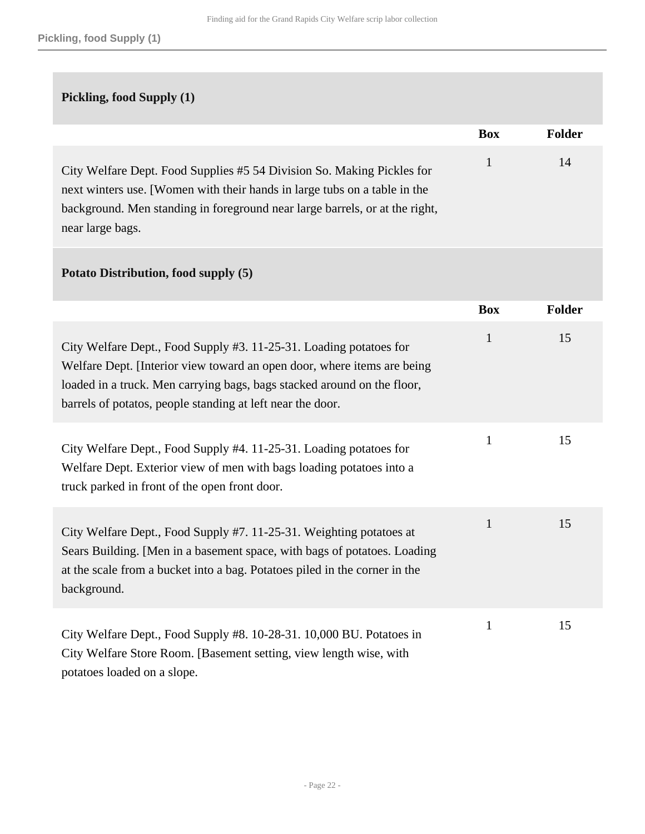### **Pickling, food Supply (1)**

|                                                                                                                                                                                                                                                        | <b>Box</b> | Folder |
|--------------------------------------------------------------------------------------------------------------------------------------------------------------------------------------------------------------------------------------------------------|------------|--------|
| City Welfare Dept. Food Supplies #5 54 Division So. Making Pickles for<br>next winters use. [Women with their hands in large tubs on a table in the<br>background. Men standing in foreground near large barrels, or at the right,<br>near large bags. |            | 14     |

#### **Potato Distribution, food supply (5)**

|                                                                                                                                                                                                                                                                                        | <b>Box</b>   | <b>Folder</b> |
|----------------------------------------------------------------------------------------------------------------------------------------------------------------------------------------------------------------------------------------------------------------------------------------|--------------|---------------|
| City Welfare Dept., Food Supply #3. 11-25-31. Loading potatoes for<br>Welfare Dept. [Interior view toward an open door, where items are being<br>loaded in a truck. Men carrying bags, bags stacked around on the floor,<br>barrels of potatos, people standing at left near the door. | $\mathbf{1}$ | 15            |
| City Welfare Dept., Food Supply #4. 11-25-31. Loading potatoes for<br>Welfare Dept. Exterior view of men with bags loading potatoes into a<br>truck parked in front of the open front door.                                                                                            | 1            | 15            |
| City Welfare Dept., Food Supply #7. 11-25-31. Weighting potatoes at<br>Sears Building. [Men in a basement space, with bags of potatoes. Loading<br>at the scale from a bucket into a bag. Potatoes piled in the corner in the<br>background.                                           | $\mathbf{1}$ | 15            |
| City Welfare Dept., Food Supply #8. 10-28-31. 10,000 BU. Potatoes in<br>City Welfare Store Room. [Basement setting, view length wise, with<br>potatoes loaded on a slope.                                                                                                              | 1            | 15            |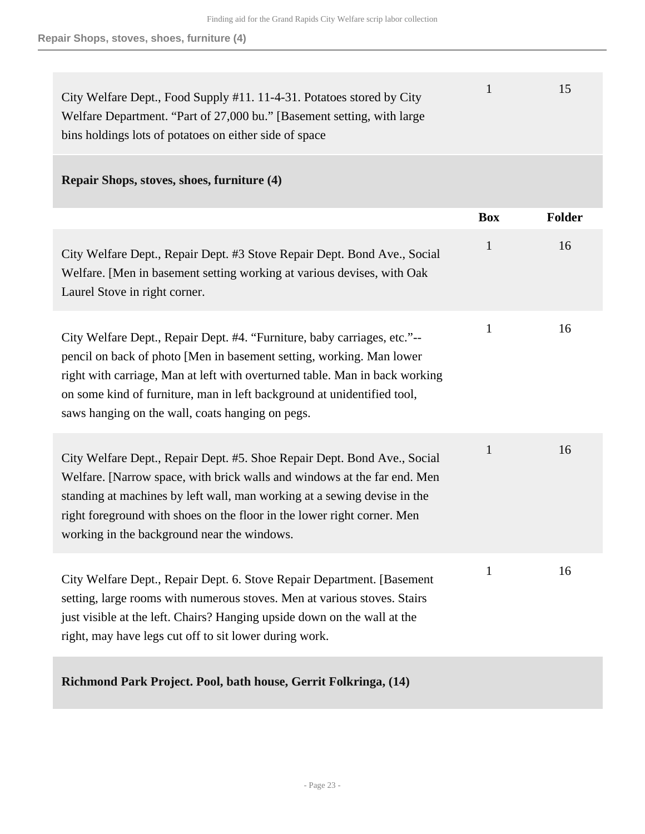| City Welfare Dept., Food Supply #11. 11-4-31. Potatoes stored by City  | 15 <sup>1</sup> |
|------------------------------------------------------------------------|-----------------|
| Welfare Department. "Part of 27,000 bu." [Basement setting, with large |                 |
| bins holdings lots of potatoes on either side of space                 |                 |

#### **Repair Shops, stoves, shoes, furniture (4)**

|                                                                                                                                                                                                                                                                                                                                                                | <b>Box</b>   | <b>Folder</b> |
|----------------------------------------------------------------------------------------------------------------------------------------------------------------------------------------------------------------------------------------------------------------------------------------------------------------------------------------------------------------|--------------|---------------|
| City Welfare Dept., Repair Dept. #3 Stove Repair Dept. Bond Ave., Social<br>Welfare. [Men in basement setting working at various devises, with Oak<br>Laurel Stove in right corner.                                                                                                                                                                            | $\mathbf{1}$ | 16            |
| City Welfare Dept., Repair Dept. #4. "Furniture, baby carriages, etc."--<br>pencil on back of photo [Men in basement setting, working. Man lower<br>right with carriage, Man at left with overturned table. Man in back working<br>on some kind of furniture, man in left background at unidentified tool,<br>saws hanging on the wall, coats hanging on pegs. | $\mathbf{1}$ | 16            |
| City Welfare Dept., Repair Dept. #5. Shoe Repair Dept. Bond Ave., Social<br>Welfare. [Narrow space, with brick walls and windows at the far end. Men<br>standing at machines by left wall, man working at a sewing devise in the<br>right foreground with shoes on the floor in the lower right corner. Men<br>working in the background near the windows.     | $\mathbf{1}$ | 16            |
| City Welfare Dept., Repair Dept. 6. Stove Repair Department. [Basement<br>setting, large rooms with numerous stoves. Men at various stoves. Stairs<br>just visible at the left. Chairs? Hanging upside down on the wall at the<br>right, may have legs cut off to sit lower during work.                                                                       | $\mathbf{1}$ | 16            |
| Richmond Park Project. Pool, bath house, Gerrit Folkringa, (14)                                                                                                                                                                                                                                                                                                |              |               |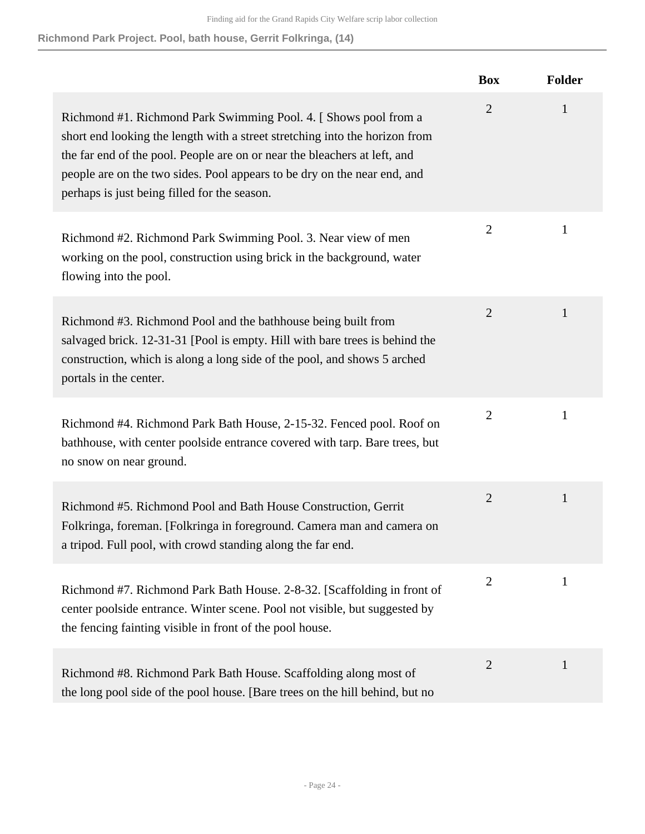**Richmond Park Project. Pool, bath house, Gerrit Folkringa, (14)**

|                                                                                                                                                                                                                                                                                                                                                         | <b>Box</b>     | <b>Folder</b> |
|---------------------------------------------------------------------------------------------------------------------------------------------------------------------------------------------------------------------------------------------------------------------------------------------------------------------------------------------------------|----------------|---------------|
| Richmond #1. Richmond Park Swimming Pool. 4. [Shows pool from a<br>short end looking the length with a street stretching into the horizon from<br>the far end of the pool. People are on or near the bleachers at left, and<br>people are on the two sides. Pool appears to be dry on the near end, and<br>perhaps is just being filled for the season. | $\overline{2}$ | $\mathbf{1}$  |
| Richmond #2. Richmond Park Swimming Pool. 3. Near view of men<br>working on the pool, construction using brick in the background, water<br>flowing into the pool.                                                                                                                                                                                       | $\overline{2}$ | $\mathbf{1}$  |
| Richmond #3. Richmond Pool and the bathhouse being built from<br>salvaged brick. 12-31-31 [Pool is empty. Hill with bare trees is behind the<br>construction, which is along a long side of the pool, and shows 5 arched<br>portals in the center.                                                                                                      | $\overline{2}$ | 1             |
| Richmond #4. Richmond Park Bath House, 2-15-32. Fenced pool. Roof on<br>bathhouse, with center poolside entrance covered with tarp. Bare trees, but<br>no snow on near ground.                                                                                                                                                                          | $\overline{2}$ | $\mathbf{1}$  |
| Richmond #5. Richmond Pool and Bath House Construction, Gerrit<br>Folkringa, foreman. [Folkringa in foreground. Camera man and camera on<br>a tripod. Full pool, with crowd standing along the far end.                                                                                                                                                 | $\overline{2}$ | $\mathbf{1}$  |
| Richmond #7. Richmond Park Bath House. 2-8-32. [Scaffolding in front of<br>center poolside entrance. Winter scene. Pool not visible, but suggested by<br>the fencing fainting visible in front of the pool house.                                                                                                                                       | $\overline{2}$ | 1             |
| Richmond #8. Richmond Park Bath House. Scaffolding along most of<br>the long pool side of the pool house. [Bare trees on the hill behind, but no                                                                                                                                                                                                        | 2              | $\mathbf{1}$  |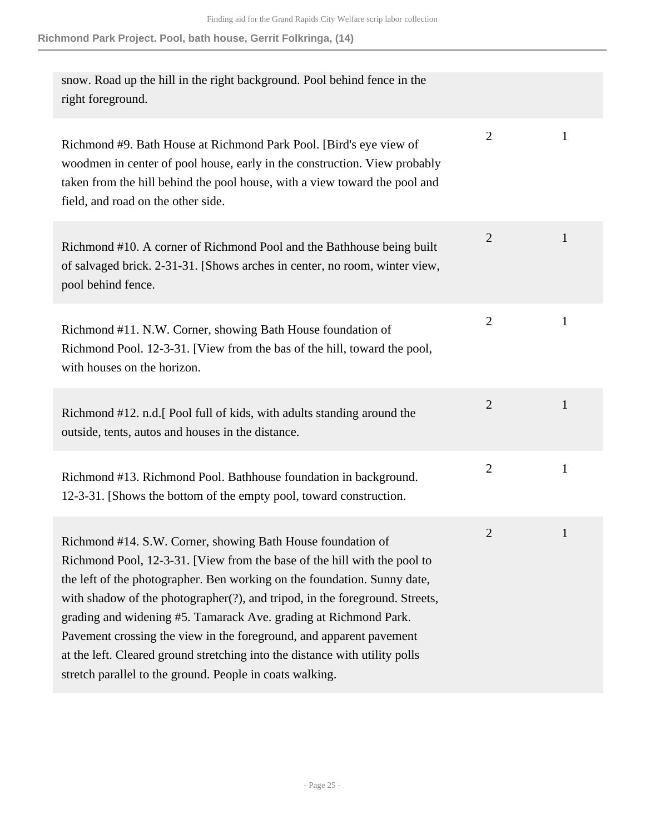| snow. Road up the hill in the right background. Pool behind fence in the<br>right foreground.                                                                                                                                                                                                                                                                                                                                                                                                                                                                                            |                |              |
|------------------------------------------------------------------------------------------------------------------------------------------------------------------------------------------------------------------------------------------------------------------------------------------------------------------------------------------------------------------------------------------------------------------------------------------------------------------------------------------------------------------------------------------------------------------------------------------|----------------|--------------|
| Richmond #9. Bath House at Richmond Park Pool. [Bird's eye view of<br>woodmen in center of pool house, early in the construction. View probably<br>taken from the hill behind the pool house, with a view toward the pool and<br>field, and road on the other side.                                                                                                                                                                                                                                                                                                                      | $\overline{2}$ | $\mathbf{1}$ |
| Richmond #10. A corner of Richmond Pool and the Bathhouse being built<br>of salvaged brick. 2-31-31. [Shows arches in center, no room, winter view,<br>pool behind fence.                                                                                                                                                                                                                                                                                                                                                                                                                | $\overline{2}$ | $\mathbf{1}$ |
| Richmond #11. N.W. Corner, showing Bath House foundation of<br>Richmond Pool. 12-3-31. [View from the bas of the hill, toward the pool,<br>with houses on the horizon.                                                                                                                                                                                                                                                                                                                                                                                                                   | $\mathbf{2}$   | $\mathbf{1}$ |
| Richmond #12. n.d. [Pool full of kids, with adults standing around the<br>outside, tents, autos and houses in the distance.                                                                                                                                                                                                                                                                                                                                                                                                                                                              | $\overline{2}$ | $\mathbf{1}$ |
| Richmond #13. Richmond Pool. Bathhouse foundation in background.<br>12-3-31. [Shows the bottom of the empty pool, toward construction.                                                                                                                                                                                                                                                                                                                                                                                                                                                   | $\mathbf{2}$   | $\mathbf{1}$ |
| Richmond #14. S.W. Corner, showing Bath House foundation of<br>Richmond Pool, 12-3-31. [View from the base of the hill with the pool to<br>the left of the photographer. Ben working on the foundation. Sunny date,<br>with shadow of the photographer(?), and tripod, in the foreground. Streets,<br>grading and widening #5. Tamarack Ave. grading at Richmond Park.<br>Pavement crossing the view in the foreground, and apparent pavement<br>at the left. Cleared ground stretching into the distance with utility polls<br>stretch parallel to the ground. People in coats walking. | 2              | $\mathbf{1}$ |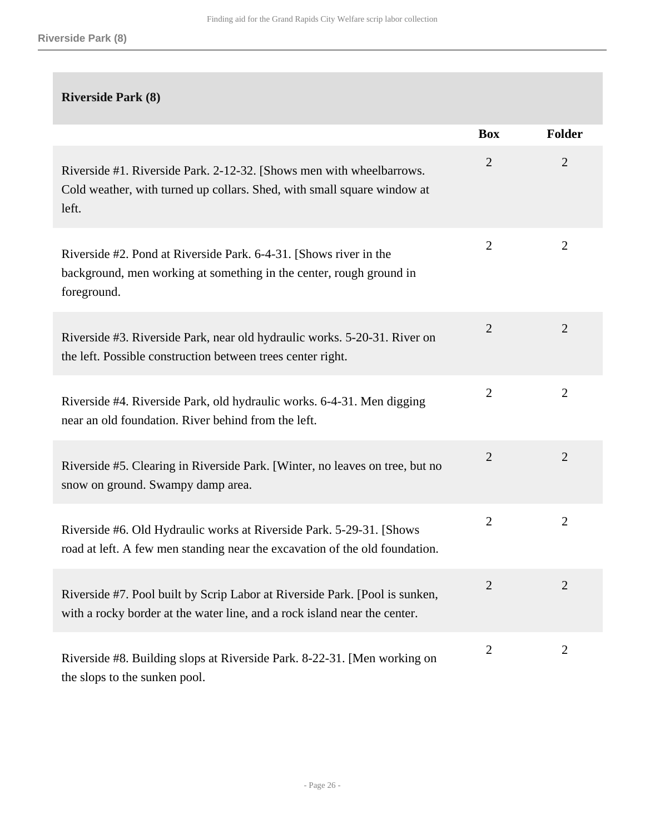#### **Riverside Park (8)**

|                                                                                                                                                          | <b>Box</b>     | Folder         |
|----------------------------------------------------------------------------------------------------------------------------------------------------------|----------------|----------------|
| Riverside #1. Riverside Park. 2-12-32. [Shows men with wheelbarrows.<br>Cold weather, with turned up collars. Shed, with small square window at<br>left. | $\overline{2}$ | $\overline{2}$ |
| Riverside #2. Pond at Riverside Park. 6-4-31. [Shows river in the<br>background, men working at something in the center, rough ground in<br>foreground.  | $\overline{2}$ | $\overline{2}$ |
| Riverside #3. Riverside Park, near old hydraulic works. 5-20-31. River on<br>the left. Possible construction between trees center right.                 | $\overline{2}$ | $\overline{2}$ |
| Riverside #4. Riverside Park, old hydraulic works. 6-4-31. Men digging<br>near an old foundation. River behind from the left.                            | $\overline{2}$ | 2              |
| Riverside #5. Clearing in Riverside Park. [Winter, no leaves on tree, but no<br>snow on ground. Swampy damp area.                                        | $\overline{2}$ | $\overline{2}$ |
| Riverside #6. Old Hydraulic works at Riverside Park. 5-29-31. [Shows]<br>road at left. A few men standing near the excavation of the old foundation.     | $\overline{2}$ | $\overline{2}$ |
| Riverside #7. Pool built by Scrip Labor at Riverside Park. [Pool is sunken,<br>with a rocky border at the water line, and a rock island near the center. | $\overline{2}$ | 2              |
| Riverside #8. Building slops at Riverside Park. 8-22-31. [Men working on<br>the slops to the sunken pool.                                                | $\overline{2}$ | $\overline{2}$ |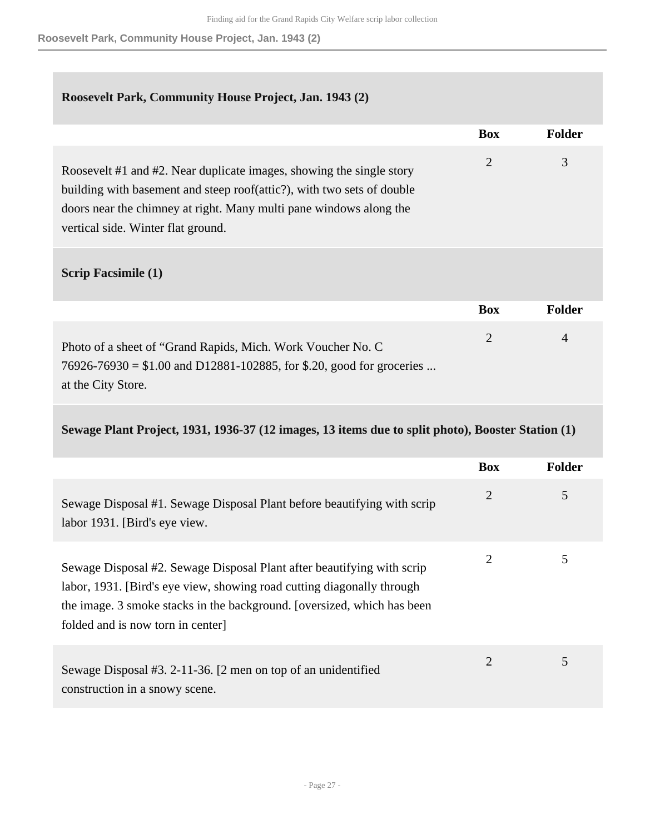#### **Roosevelt Park, Community House Project, Jan. 1943 (2)**

|                                                                                                                                                                                                                                                            | <b>Box</b> | <b>Folder</b> |
|------------------------------------------------------------------------------------------------------------------------------------------------------------------------------------------------------------------------------------------------------------|------------|---------------|
| Roosevelt #1 and #2. Near duplicate images, showing the single story<br>building with basement and steep roof(attic?), with two sets of double<br>doors near the chimney at right. Many multi pane windows along the<br>vertical side. Winter flat ground. | 2          | 3             |
| <b>Scrip Facsimile (1)</b>                                                                                                                                                                                                                                 |            |               |
|                                                                                                                                                                                                                                                            | <b>Box</b> | <b>Folder</b> |
|                                                                                                                                                                                                                                                            |            |               |

| Photo of a sheet of "Grand Rapids, Mich. Work Voucher No. C              |  |
|--------------------------------------------------------------------------|--|
| $76926 - 76930 = $1.00$ and D12881-102885, for \$.20, good for groceries |  |
| at the City Store.                                                       |  |

#### **Sewage Plant Project, 1931, 1936-37 (12 images, 13 items due to split photo), Booster Station (1)**

|                                                                                                                                                                                                                                                                 | <b>Box</b> | <b>Folder</b> |
|-----------------------------------------------------------------------------------------------------------------------------------------------------------------------------------------------------------------------------------------------------------------|------------|---------------|
| Sewage Disposal #1. Sewage Disposal Plant before beautifying with scrip<br>labor 1931. [Bird's eye view.]                                                                                                                                                       | 2          | 5             |
| Sewage Disposal #2. Sewage Disposal Plant after beautifying with scrip<br>labor, 1931. [Bird's eye view, showing road cutting diagonally through<br>the image. 3 smoke stacks in the background. [oversized, which has been<br>folded and is now torn in center | 2          | 5             |
| Sewage Disposal #3. 2-11-36. [2 men on top of an unidentified<br>construction in a snowy scene.                                                                                                                                                                 | 2          | 5             |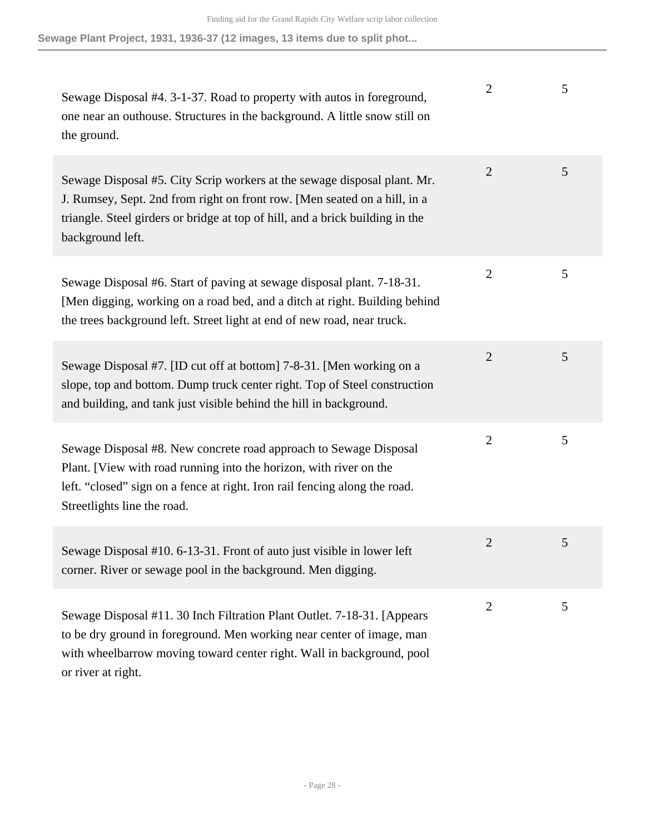**Sewage Plant Project, 1931, 1936-37 (12 images, 13 items due to split phot...**

| Sewage Disposal #4. 3-1-37. Road to property with autos in foreground,<br>one near an outhouse. Structures in the background. A little snow still on<br>the ground.                                                                                        | $\overline{2}$ | 5 |
|------------------------------------------------------------------------------------------------------------------------------------------------------------------------------------------------------------------------------------------------------------|----------------|---|
| Sewage Disposal #5. City Scrip workers at the sewage disposal plant. Mr.<br>J. Rumsey, Sept. 2nd from right on front row. [Men seated on a hill, in a<br>triangle. Steel girders or bridge at top of hill, and a brick building in the<br>background left. | $\overline{2}$ | 5 |
| Sewage Disposal #6. Start of paving at sewage disposal plant. 7-18-31.<br>[Men digging, working on a road bed, and a ditch at right. Building behind<br>the trees background left. Street light at end of new road, near truck.                            | $\overline{2}$ | 5 |
| Sewage Disposal #7. [ID cut off at bottom] 7-8-31. [Men working on a<br>slope, top and bottom. Dump truck center right. Top of Steel construction<br>and building, and tank just visible behind the hill in background.                                    | $\overline{2}$ | 5 |
| Sewage Disposal #8. New concrete road approach to Sewage Disposal<br>Plant. [View with road running into the horizon, with river on the<br>left. "closed" sign on a fence at right. Iron rail fencing along the road.<br>Streetlights line the road.       | $\overline{2}$ | 5 |
| Sewage Disposal #10. 6-13-31. Front of auto just visible in lower left<br>corner. River or sewage pool in the background. Men digging.                                                                                                                     | 2              | 5 |
| Sewage Disposal #11.30 Inch Filtration Plant Outlet. 7-18-31. [Appears]<br>to be dry ground in foreground. Men working near center of image, man<br>with wheelbarrow moving toward center right. Wall in background, pool<br>or river at right.            | $\overline{2}$ | 5 |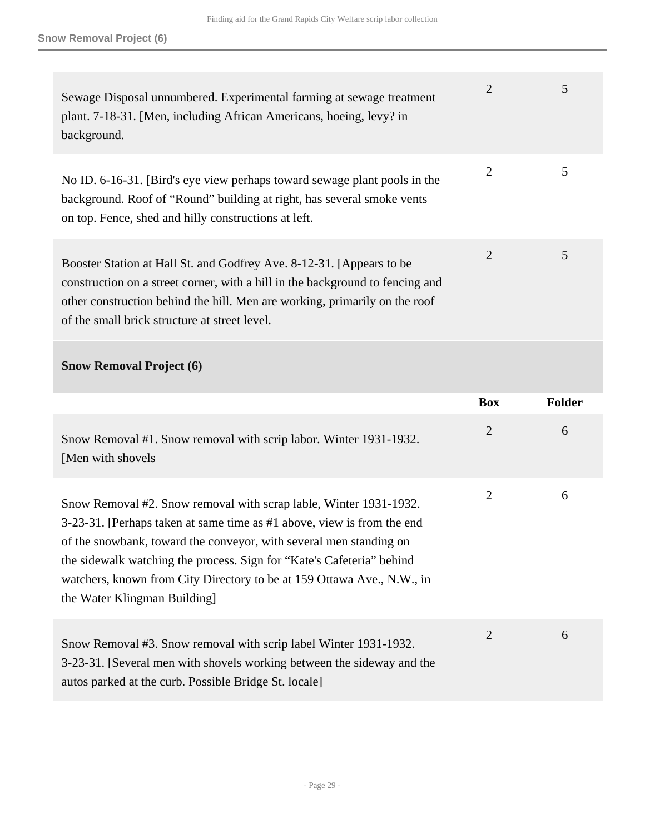| Sewage Disposal unnumbered. Experimental farming at sewage treatment<br>plant. 7-18-31. [Men, including African Americans, hoeing, levy? in<br>background.                                                                                                                                                                                                                                           | $\overline{2}$ | 5             |
|------------------------------------------------------------------------------------------------------------------------------------------------------------------------------------------------------------------------------------------------------------------------------------------------------------------------------------------------------------------------------------------------------|----------------|---------------|
| No ID. 6-16-31. [Bird's eye view perhaps toward sewage plant pools in the<br>background. Roof of "Round" building at right, has several smoke vents<br>on top. Fence, shed and hilly constructions at left.                                                                                                                                                                                          | $\overline{2}$ | 5             |
| Booster Station at Hall St. and Godfrey Ave. 8-12-31. [Appears to be<br>construction on a street corner, with a hill in the background to fencing and<br>other construction behind the hill. Men are working, primarily on the roof<br>of the small brick structure at street level.                                                                                                                 | $\overline{2}$ | 5             |
| <b>Snow Removal Project (6)</b>                                                                                                                                                                                                                                                                                                                                                                      |                |               |
|                                                                                                                                                                                                                                                                                                                                                                                                      |                |               |
|                                                                                                                                                                                                                                                                                                                                                                                                      | <b>Box</b>     | <b>Folder</b> |
| Snow Removal #1. Snow removal with scrip labor. Winter 1931-1932.<br>[Men with shovels                                                                                                                                                                                                                                                                                                               | $\overline{2}$ | 6             |
| Snow Removal #2. Snow removal with scrap lable, Winter 1931-1932.<br>3-23-31. [Perhaps taken at same time as #1 above, view is from the end<br>of the snowbank, toward the conveyor, with several men standing on<br>the sidewalk watching the process. Sign for "Kate's Cafeteria" behind<br>watchers, known from City Directory to be at 159 Ottawa Ave., N.W., in<br>the Water Klingman Building] | $\overline{2}$ | 6             |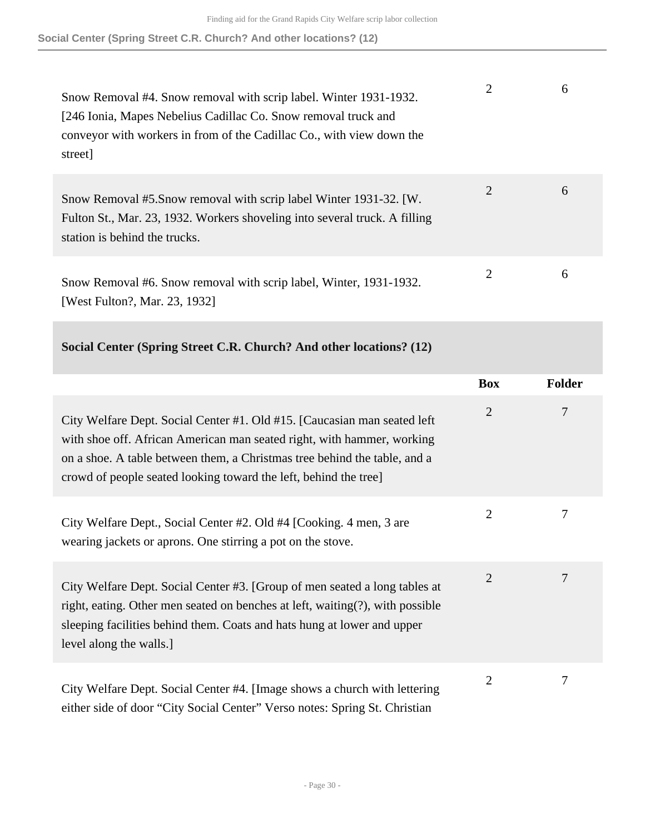**Social Center (Spring Street C.R. Church? And other locations? (12)**

| Snow Removal #4. Snow removal with scrip label. Winter 1931-1932.<br>[246 Ionia, Mapes Nebelius Cadillac Co. Snow removal truck and<br>conveyor with workers in from of the Cadillac Co., with view down the<br>street] |   | 6 |
|-------------------------------------------------------------------------------------------------------------------------------------------------------------------------------------------------------------------------|---|---|
| Snow Removal #5. Snow removal with scrip label Winter 1931-32. [W.<br>Fulton St., Mar. 23, 1932. Workers shoveling into several truck. A filling<br>station is behind the trucks.                                       | 2 | 6 |
| Snow Removal #6. Snow removal with scrip label, Winter, 1931-1932.<br>[West Fulton?, Mar. 23, 1932]                                                                                                                     | 2 | 6 |

#### **Social Center (Spring Street C.R. Church? And other locations? (12)**

|                                                                                                                                                                                                                                                                                                    | <b>Box</b>     | <b>Folder</b> |
|----------------------------------------------------------------------------------------------------------------------------------------------------------------------------------------------------------------------------------------------------------------------------------------------------|----------------|---------------|
| City Welfare Dept. Social Center #1. Old #15. [Caucasian man seated left<br>with shoe off. African American man seated right, with hammer, working<br>on a shoe. A table between them, a Christmas tree behind the table, and a<br>crowd of people seated looking toward the left, behind the tree | $\overline{2}$ | 7             |
| City Welfare Dept., Social Center #2. Old #4 [Cooking. 4 men, 3 are<br>wearing jackets or aprons. One stirring a pot on the stove.                                                                                                                                                                 | $\overline{2}$ | 7             |
| City Welfare Dept. Social Center #3. [Group of men seated a long tables at<br>right, eating. Other men seated on benches at left, waiting(?), with possible<br>sleeping facilities behind them. Coats and hats hung at lower and upper<br>level along the walls.]                                  | $\overline{2}$ | 7             |
| City Welfare Dept. Social Center #4. [Image shows a church with lettering<br>either side of door "City Social Center" Verso notes: Spring St. Christian                                                                                                                                            | $\overline{2}$ | 7             |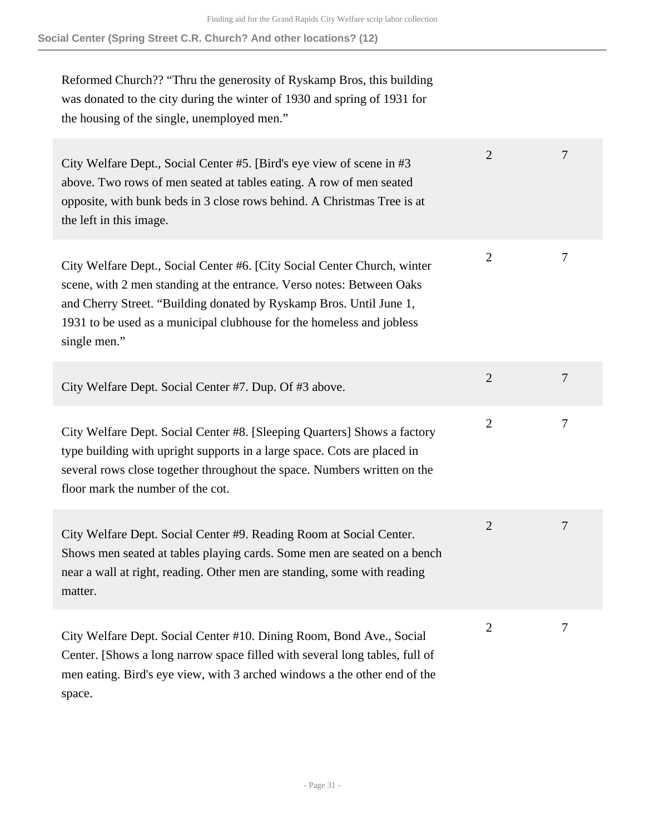Reformed Church?? "Thru the generosity of Ryskamp Bros, this building was donated to the city during the winter of 1930 and spring of 1931 for the housing of the single, unemployed men."

| City Welfare Dept., Social Center #5. [Bird's eye view of scene in #3<br>above. Two rows of men seated at tables eating. A row of men seated<br>opposite, with bunk beds in 3 close rows behind. A Christmas Tree is at<br>the left in this image.                                                                | $\overline{2}$ | 7 |
|-------------------------------------------------------------------------------------------------------------------------------------------------------------------------------------------------------------------------------------------------------------------------------------------------------------------|----------------|---|
| City Welfare Dept., Social Center #6. [City Social Center Church, winter<br>scene, with 2 men standing at the entrance. Verso notes: Between Oaks<br>and Cherry Street. "Building donated by Ryskamp Bros. Until June 1,<br>1931 to be used as a municipal clubhouse for the homeless and jobless<br>single men." | $\overline{2}$ | 7 |
| City Welfare Dept. Social Center #7. Dup. Of #3 above.                                                                                                                                                                                                                                                            | $\overline{2}$ | 7 |
| City Welfare Dept. Social Center #8. [Sleeping Quarters] Shows a factory<br>type building with upright supports in a large space. Cots are placed in<br>several rows close together throughout the space. Numbers written on the<br>floor mark the number of the cot.                                             | $\overline{2}$ | 7 |
| City Welfare Dept. Social Center #9. Reading Room at Social Center.<br>Shows men seated at tables playing cards. Some men are seated on a bench<br>near a wall at right, reading. Other men are standing, some with reading<br>matter.                                                                            | $\overline{2}$ | 7 |
| City Welfare Dept. Social Center #10. Dining Room, Bond Ave., Social<br>Center. [Shows a long narrow space filled with several long tables, full of<br>men eating. Bird's eye view, with 3 arched windows a the other end of the<br>space.                                                                        | 2              | 7 |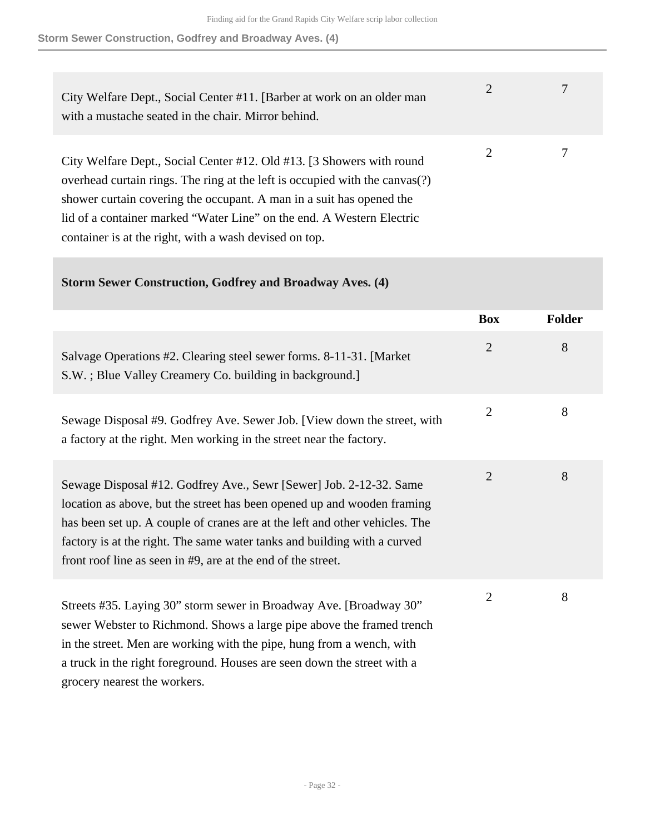#### **Storm Sewer Construction, Godfrey and Broadway Aves. (4)**

| City Welfare Dept., Social Center #11. [Barber at work on an older man<br>with a mustache seated in the chair. Mirror behind.                                                                                                                                                                         | 2 |  |
|-------------------------------------------------------------------------------------------------------------------------------------------------------------------------------------------------------------------------------------------------------------------------------------------------------|---|--|
| City Welfare Dept., Social Center #12. Old #13. [3 Showers with round<br>overhead curtain rings. The ring at the left is occupied with the canvas(?)<br>shower curtain covering the occupant. A man in a suit has opened the<br>lid of a container marked "Water Line" on the end. A Western Electric | 2 |  |
| container is at the right, with a wash devised on top.                                                                                                                                                                                                                                                |   |  |

#### **Storm Sewer Construction, Godfrey and Broadway Aves. (4)**

|                                                                                                                                                                                                                                                                                                                                                                          | <b>Box</b>     | <b>Folder</b> |
|--------------------------------------------------------------------------------------------------------------------------------------------------------------------------------------------------------------------------------------------------------------------------------------------------------------------------------------------------------------------------|----------------|---------------|
| Salvage Operations #2. Clearing steel sewer forms. 8-11-31. [Market]<br>S.W.; Blue Valley Creamery Co. building in background.]                                                                                                                                                                                                                                          | $\overline{2}$ | 8             |
| Sewage Disposal #9. Godfrey Ave. Sewer Job. [View down the street, with<br>a factory at the right. Men working in the street near the factory.                                                                                                                                                                                                                           | $\overline{2}$ | 8             |
| Sewage Disposal #12. Godfrey Ave., Sewr [Sewer] Job. 2-12-32. Same<br>location as above, but the street has been opened up and wooden framing<br>has been set up. A couple of cranes are at the left and other vehicles. The<br>factory is at the right. The same water tanks and building with a curved<br>front roof line as seen in #9, are at the end of the street. | $\overline{2}$ | 8             |
| Streets #35. Laying 30" storm sewer in Broadway Ave. [Broadway 30"<br>sewer Webster to Richmond. Shows a large pipe above the framed trench<br>in the street. Men are working with the pipe, hung from a wench, with<br>a truck in the right foreground. Houses are seen down the street with a<br>grocery nearest the workers.                                          | $\overline{2}$ | 8             |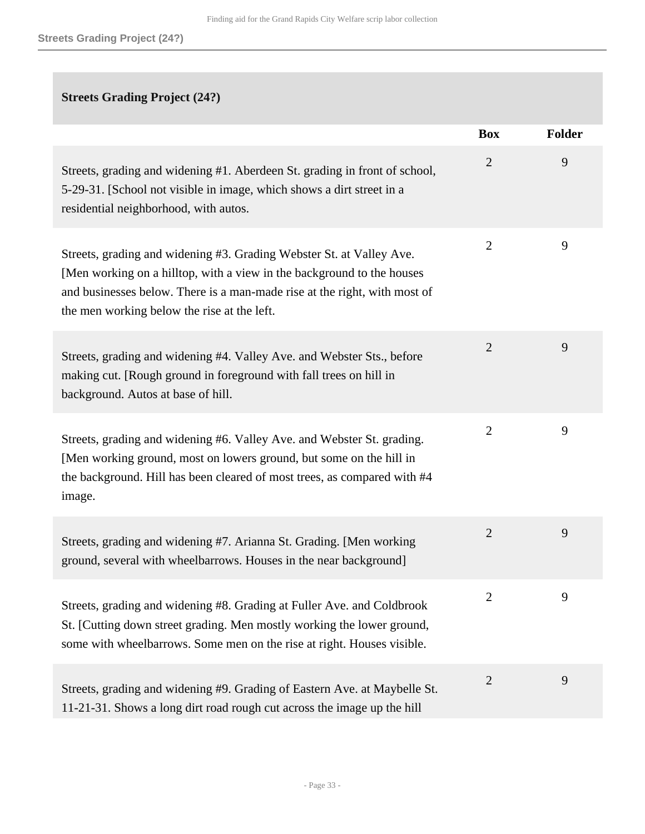## **Streets Grading Project (24?)**

|                                                                                                                                                                                                                                                                            | <b>Box</b>     | <b>Folder</b> |
|----------------------------------------------------------------------------------------------------------------------------------------------------------------------------------------------------------------------------------------------------------------------------|----------------|---------------|
| Streets, grading and widening #1. Aberdeen St. grading in front of school,<br>5-29-31. [School not visible in image, which shows a dirt street in a<br>residential neighborhood, with autos.                                                                               | $\overline{2}$ | 9             |
| Streets, grading and widening #3. Grading Webster St. at Valley Ave.<br>[Men working on a hilltop, with a view in the background to the houses<br>and businesses below. There is a man-made rise at the right, with most of<br>the men working below the rise at the left. | $\overline{2}$ | 9             |
| Streets, grading and widening #4. Valley Ave. and Webster Sts., before<br>making cut. [Rough ground in foreground with fall trees on hill in<br>background. Autos at base of hill.                                                                                         | $\overline{2}$ | 9             |
| Streets, grading and widening #6. Valley Ave. and Webster St. grading.<br>[Men working ground, most on lowers ground, but some on the hill in<br>the background. Hill has been cleared of most trees, as compared with #4<br>image.                                        | $\overline{2}$ | 9             |
| Streets, grading and widening #7. Arianna St. Grading. [Men working<br>ground, several with wheelbarrows. Houses in the near background]                                                                                                                                   | $\overline{2}$ | 9             |
| Streets, grading and widening #8. Grading at Fuller Ave. and Coldbrook<br>St. [Cutting down street grading. Men mostly working the lower ground,<br>some with wheelbarrows. Some men on the rise at right. Houses visible.                                                 | 2              | 9             |
| Streets, grading and widening #9. Grading of Eastern Ave. at Maybelle St.<br>11-21-31. Shows a long dirt road rough cut across the image up the hill                                                                                                                       | $\overline{2}$ | 9             |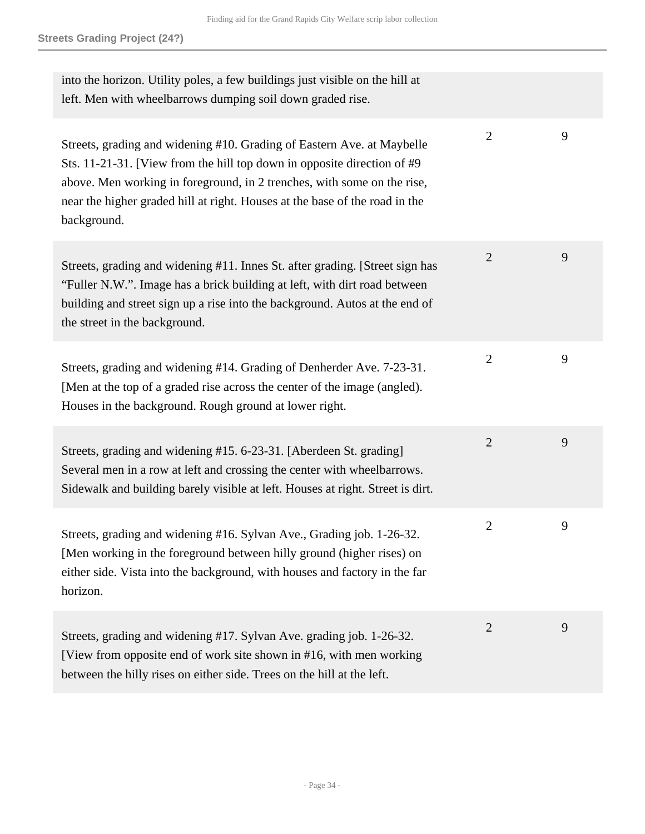| into the horizon. Utility poles, a few buildings just visible on the hill at<br>left. Men with wheelbarrows dumping soil down graded rise.                                                                                                                                                                                   |                |   |
|------------------------------------------------------------------------------------------------------------------------------------------------------------------------------------------------------------------------------------------------------------------------------------------------------------------------------|----------------|---|
| Streets, grading and widening #10. Grading of Eastern Ave. at Maybelle<br>Sts. 11-21-31. [View from the hill top down in opposite direction of $#9$<br>above. Men working in foreground, in 2 trenches, with some on the rise,<br>near the higher graded hill at right. Houses at the base of the road in the<br>background. | $\overline{2}$ | 9 |
| Streets, grading and widening #11. Innes St. after grading. [Street sign has<br>"Fuller N.W.". Image has a brick building at left, with dirt road between<br>building and street sign up a rise into the background. Autos at the end of<br>the street in the background.                                                    | $\overline{2}$ | 9 |
| Streets, grading and widening #14. Grading of Denherder Ave. 7-23-31.<br>[Men at the top of a graded rise across the center of the image (angled).<br>Houses in the background. Rough ground at lower right.                                                                                                                 | $\overline{2}$ | 9 |
| Streets, grading and widening #15. 6-23-31. [Aberdeen St. grading]<br>Several men in a row at left and crossing the center with wheelbarrows.<br>Sidewalk and building barely visible at left. Houses at right. Street is dirt.                                                                                              | $\overline{2}$ | 9 |
| Streets, grading and widening #16. Sylvan Ave., Grading job. 1-26-32.<br>[Men working in the foreground between hilly ground (higher rises) on<br>either side. Vista into the background, with houses and factory in the far<br>horizon.                                                                                     | $\overline{2}$ | 9 |
| Streets, grading and widening #17. Sylvan Ave. grading job. 1-26-32.<br>[View from opposite end of work site shown in #16, with men working<br>between the hilly rises on either side. Trees on the hill at the left.                                                                                                        | $\overline{2}$ | 9 |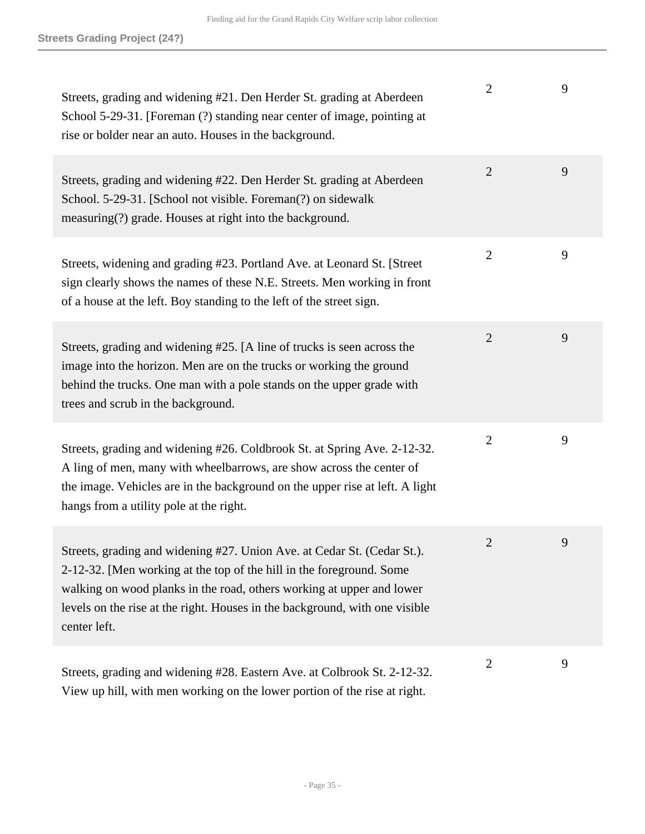| Streets, grading and widening #21. Den Herder St. grading at Aberdeen<br>School 5-29-31. [Foreman (?) standing near center of image, pointing at<br>rise or bolder near an auto. Houses in the background.                                                                                                              | $\overline{2}$ | 9 |
|-------------------------------------------------------------------------------------------------------------------------------------------------------------------------------------------------------------------------------------------------------------------------------------------------------------------------|----------------|---|
| Streets, grading and widening #22. Den Herder St. grading at Aberdeen<br>School. 5-29-31. [School not visible. Foreman(?) on sidewalk<br>measuring(?) grade. Houses at right into the background.                                                                                                                       | $\overline{2}$ | 9 |
| Streets, widening and grading #23. Portland Ave. at Leonard St. [Street]<br>sign clearly shows the names of these N.E. Streets. Men working in front<br>of a house at the left. Boy standing to the left of the street sign.                                                                                            | $\overline{2}$ | 9 |
| Streets, grading and widening #25. [A line of trucks is seen across the<br>image into the horizon. Men are on the trucks or working the ground<br>behind the trucks. One man with a pole stands on the upper grade with<br>trees and scrub in the background.                                                           | $\overline{2}$ | 9 |
| Streets, grading and widening #26. Coldbrook St. at Spring Ave. 2-12-32.<br>A ling of men, many with wheelbarrows, are show across the center of<br>the image. Vehicles are in the background on the upper rise at left. A light<br>hangs from a utility pole at the right.                                             | $\overline{2}$ | 9 |
| Streets, grading and widening #27. Union Ave. at Cedar St. (Cedar St.).<br>2-12-32. [Men working at the top of the hill in the foreground. Some<br>walking on wood planks in the road, others working at upper and lower<br>levels on the rise at the right. Houses in the background, with one visible<br>center left. | 2              | 9 |
| Streets, grading and widening #28. Eastern Ave. at Colbrook St. 2-12-32.<br>View up hill, with men working on the lower portion of the rise at right.                                                                                                                                                                   | $\overline{2}$ | 9 |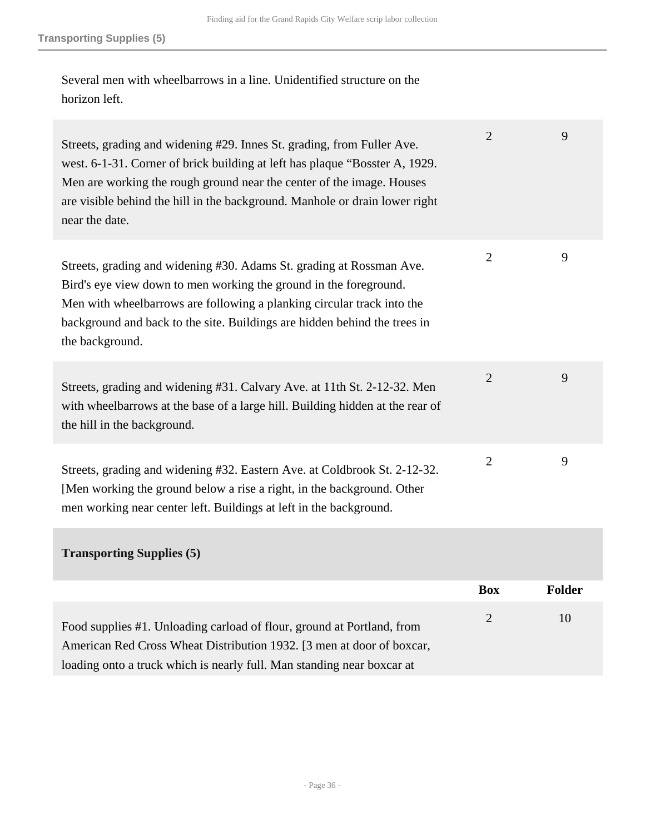Several men with wheelbarrows in a line. Unidentified structure on the horizon left.

| Streets, grading and widening #29. Innes St. grading, from Fuller Ave.<br>west. 6-1-31. Corner of brick building at left has plaque "Bosster A, 1929.<br>Men are working the rough ground near the center of the image. Houses<br>are visible behind the hill in the background. Manhole or drain lower right<br>near the date. | $\overline{2}$ | 9             |
|---------------------------------------------------------------------------------------------------------------------------------------------------------------------------------------------------------------------------------------------------------------------------------------------------------------------------------|----------------|---------------|
| Streets, grading and widening #30. Adams St. grading at Rossman Ave.<br>Bird's eye view down to men working the ground in the foreground.<br>Men with wheelbarrows are following a planking circular track into the<br>background and back to the site. Buildings are hidden behind the trees in<br>the background.             | $\overline{2}$ | 9             |
| Streets, grading and widening #31. Calvary Ave. at 11th St. 2-12-32. Men<br>with wheelbarrows at the base of a large hill. Building hidden at the rear of<br>the hill in the background.                                                                                                                                        | $\overline{2}$ | 9             |
| Streets, grading and widening #32. Eastern Ave. at Coldbrook St. 2-12-32.<br>[Men working the ground below a rise a right, in the background. Other<br>men working near center left. Buildings at left in the background.                                                                                                       | $\overline{2}$ | 9             |
| <b>Transporting Supplies (5)</b>                                                                                                                                                                                                                                                                                                |                |               |
|                                                                                                                                                                                                                                                                                                                                 | <b>Box</b>     | <b>Folder</b> |

Food supplies #1. Unloading carload of flour, ground at Portland, from American Red Cross Wheat Distribution 1932. [3 men at door of boxcar, loading onto a truck which is nearly full. Man standing near boxcar at 2 10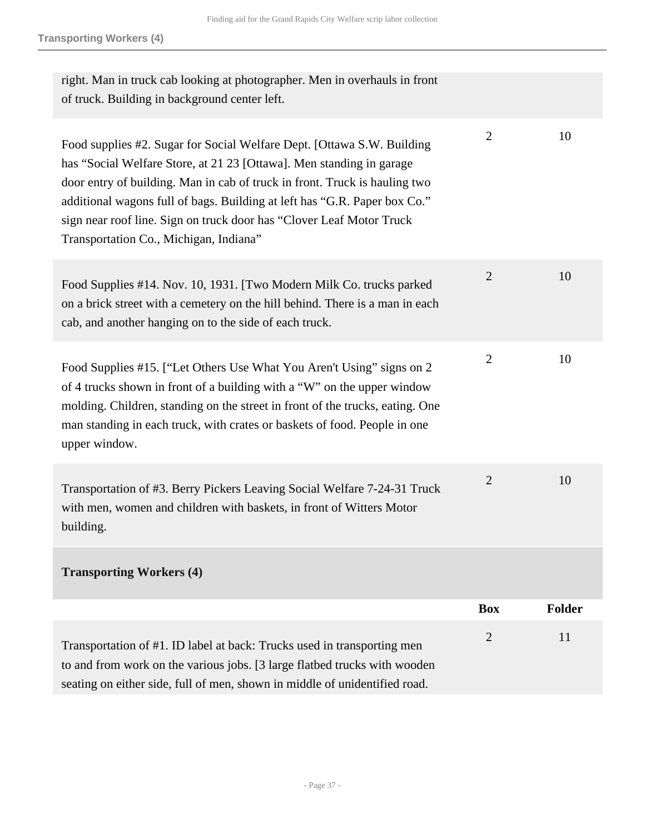| Transportation of #1. ID label at back: Trucks used in transporting men<br>to and from work on the various jobs. [3 large flatbed trucks with wooden<br>seating on either side, full of men, shown in middle of unidentified road.                                                                                                                                                                                          | $\overline{2}$ | 11     |
|-----------------------------------------------------------------------------------------------------------------------------------------------------------------------------------------------------------------------------------------------------------------------------------------------------------------------------------------------------------------------------------------------------------------------------|----------------|--------|
| <b>Transporting Workers (4)</b>                                                                                                                                                                                                                                                                                                                                                                                             | <b>Box</b>     | Folder |
| Transportation of #3. Berry Pickers Leaving Social Welfare 7-24-31 Truck<br>with men, women and children with baskets, in front of Witters Motor<br>building.                                                                                                                                                                                                                                                               | $\overline{2}$ | 10     |
| Food Supplies #15. ["Let Others Use What You Aren't Using" signs on 2<br>of 4 trucks shown in front of a building with a "W" on the upper window<br>molding. Children, standing on the street in front of the trucks, eating. One<br>man standing in each truck, with crates or baskets of food. People in one<br>upper window.                                                                                             | $\overline{2}$ | 10     |
| Food Supplies #14. Nov. 10, 1931. [Two Modern Milk Co. trucks parked<br>on a brick street with a cemetery on the hill behind. There is a man in each<br>cab, and another hanging on to the side of each truck.                                                                                                                                                                                                              | $\overline{2}$ | 10     |
| Food supplies #2. Sugar for Social Welfare Dept. [Ottawa S.W. Building<br>has "Social Welfare Store, at 21 23 [Ottawa]. Men standing in garage<br>door entry of building. Man in cab of truck in front. Truck is hauling two<br>additional wagons full of bags. Building at left has "G.R. Paper box Co."<br>sign near roof line. Sign on truck door has "Clover Leaf Motor Truck<br>Transportation Co., Michigan, Indiana" | $\overline{2}$ | 10     |
| right. Man in truck cab looking at photographer. Men in overhauls in front<br>of truck. Building in background center left.                                                                                                                                                                                                                                                                                                 |                |        |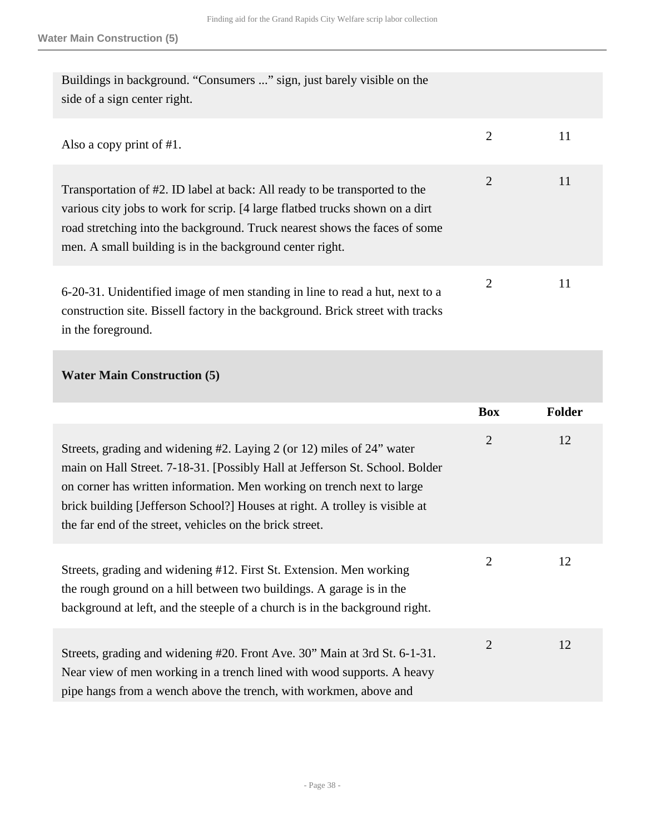| Buildings in background. "Consumers " sign, just barely visible on the<br>side of a sign center right.                                                                                                                                                                                               |                |    |
|------------------------------------------------------------------------------------------------------------------------------------------------------------------------------------------------------------------------------------------------------------------------------------------------------|----------------|----|
| Also a copy print of $#1$ .                                                                                                                                                                                                                                                                          | $\overline{2}$ | 11 |
| Transportation of #2. ID label at back: All ready to be transported to the<br>various city jobs to work for scrip. [4 large flatbed trucks shown on a dirt<br>road stretching into the background. Truck nearest shows the faces of some<br>men. A small building is in the background center right. | $\overline{2}$ | 11 |
| 6-20-31. Unidentified image of men standing in line to read a hut, next to a<br>construction site. Bissell factory in the background. Brick street with tracks                                                                                                                                       | 2              | 11 |

in the foreground.

### **Water Main Construction (5)**

|                                                                                                                                                                                                                                                                                                                                                                            | <b>Box</b>     | <b>Folder</b> |
|----------------------------------------------------------------------------------------------------------------------------------------------------------------------------------------------------------------------------------------------------------------------------------------------------------------------------------------------------------------------------|----------------|---------------|
| Streets, grading and widening #2. Laying 2 (or 12) miles of 24" water<br>main on Hall Street. 7-18-31. [Possibly Hall at Jefferson St. School. Bolder<br>on corner has written information. Men working on trench next to large<br>brick building [Jefferson School?] Houses at right. A trolley is visible at<br>the far end of the street, vehicles on the brick street. | $\overline{2}$ | 12            |
| Streets, grading and widening #12. First St. Extension. Men working<br>the rough ground on a hill between two buildings. A garage is in the<br>background at left, and the steeple of a church is in the background right.                                                                                                                                                 | $\overline{2}$ | 12            |
| Streets, grading and widening #20. Front Ave. 30" Main at 3rd St. 6-1-31.<br>Near view of men working in a trench lined with wood supports. A heavy<br>pipe hangs from a wench above the trench, with workmen, above and                                                                                                                                                   | $\overline{2}$ | 12            |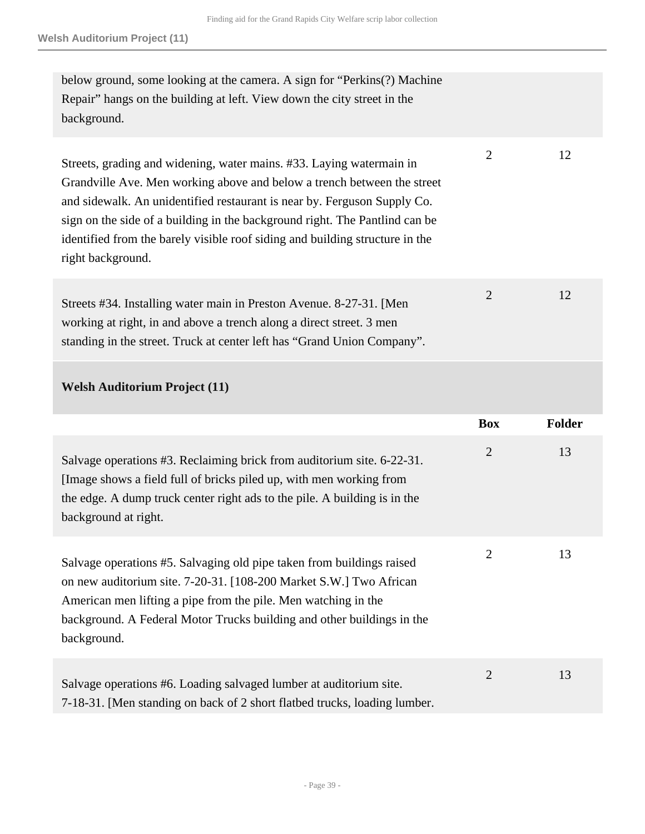| below ground, some looking at the camera. A sign for "Perkins(?) Machine<br>Repair" hangs on the building at left. View down the city street in the<br>background.                                                                                                                                                                                                                                              |                |               |
|-----------------------------------------------------------------------------------------------------------------------------------------------------------------------------------------------------------------------------------------------------------------------------------------------------------------------------------------------------------------------------------------------------------------|----------------|---------------|
| Streets, grading and widening, water mains. #33. Laying watermain in<br>Grandville Ave. Men working above and below a trench between the street<br>and sidewalk. An unidentified restaurant is near by. Ferguson Supply Co.<br>sign on the side of a building in the background right. The Pantlind can be<br>identified from the barely visible roof siding and building structure in the<br>right background. | $\overline{2}$ | 12            |
| Streets #34. Installing water main in Preston Avenue. 8-27-31. [Men]<br>working at right, in and above a trench along a direct street. 3 men<br>standing in the street. Truck at center left has "Grand Union Company".                                                                                                                                                                                         | $\overline{2}$ | 12            |
| <b>Welsh Auditorium Project (11)</b>                                                                                                                                                                                                                                                                                                                                                                            |                |               |
|                                                                                                                                                                                                                                                                                                                                                                                                                 | <b>Box</b>     | <b>Folder</b> |
| Salvage operations #3. Reclaiming brick from auditorium site. 6-22-31.<br>[Image shows a field full of bricks piled up, with men working from<br>the edge. A dump truck center right ads to the pile. A building is in the<br>background at right.                                                                                                                                                              | $\overline{2}$ | 13            |
| Salvage operations #5. Salvaging old pipe taken from buildings raised                                                                                                                                                                                                                                                                                                                                           | $\overline{2}$ | 13            |

on new auditorium site. 7-20-31. [108-200 Market S.W.] Two African American men lifting a pipe from the pile. Men watching in the background. A Federal Motor Trucks building and other buildings in the background.

| Salvage operations #6. Loading salvaged lumber at auditorium site.         |  |
|----------------------------------------------------------------------------|--|
| 7-18-31. [Men standing on back of 2 short flatbed trucks, loading lumber.] |  |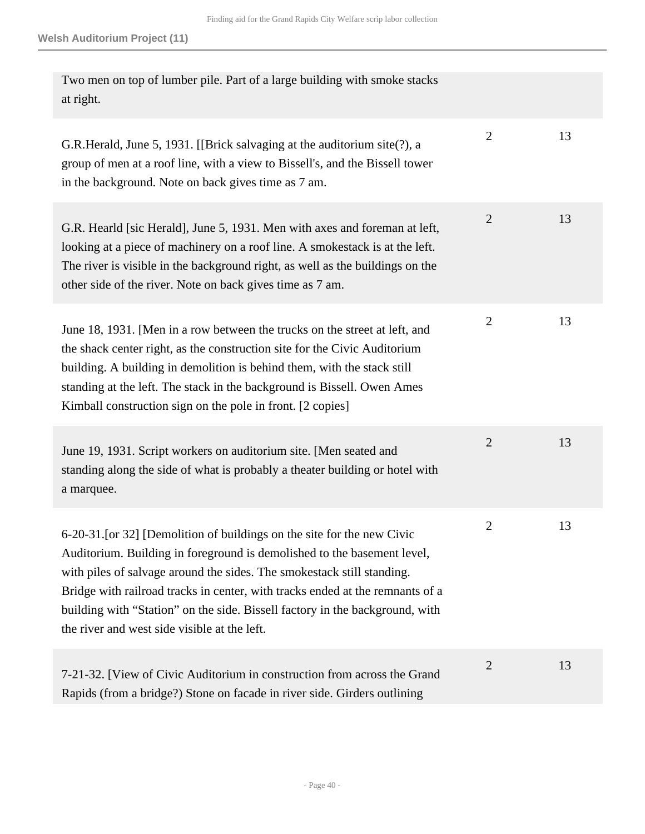| Two men on top of lumber pile. Part of a large building with smoke stacks<br>at right.                                                                                                                                                                                                                                                                                                                                                        |                |    |
|-----------------------------------------------------------------------------------------------------------------------------------------------------------------------------------------------------------------------------------------------------------------------------------------------------------------------------------------------------------------------------------------------------------------------------------------------|----------------|----|
| G.R.Herald, June 5, 1931. [[Brick salvaging at the auditorium site(?), a<br>group of men at a roof line, with a view to Bissell's, and the Bissell tower<br>in the background. Note on back gives time as 7 am.                                                                                                                                                                                                                               | $\overline{2}$ | 13 |
| G.R. Hearld [sic Herald], June 5, 1931. Men with axes and foreman at left,<br>looking at a piece of machinery on a roof line. A smokestack is at the left.<br>The river is visible in the background right, as well as the buildings on the<br>other side of the river. Note on back gives time as 7 am.                                                                                                                                      | $\overline{2}$ | 13 |
| June 18, 1931. [Men in a row between the trucks on the street at left, and<br>the shack center right, as the construction site for the Civic Auditorium<br>building. A building in demolition is behind them, with the stack still<br>standing at the left. The stack in the background is Bissell. Owen Ames<br>Kimball construction sign on the pole in front. [2 copies]                                                                   | $\overline{2}$ | 13 |
| June 19, 1931. Script workers on auditorium site. [Men seated and<br>standing along the side of what is probably a theater building or hotel with<br>a marquee.                                                                                                                                                                                                                                                                               | $\overline{2}$ | 13 |
| 6-20-31. [or 32] [Demolition of buildings on the site for the new Civic<br>Auditorium. Building in foreground is demolished to the basement level,<br>with piles of salvage around the sides. The smokestack still standing.<br>Bridge with railroad tracks in center, with tracks ended at the remnants of a<br>building with "Station" on the side. Bissell factory in the background, with<br>the river and west side visible at the left. | $\overline{2}$ | 13 |
| 7-21-32. [View of Civic Auditorium in construction from across the Grand<br>Rapids (from a bridge?) Stone on facade in river side. Girders outlining                                                                                                                                                                                                                                                                                          | $\overline{2}$ | 13 |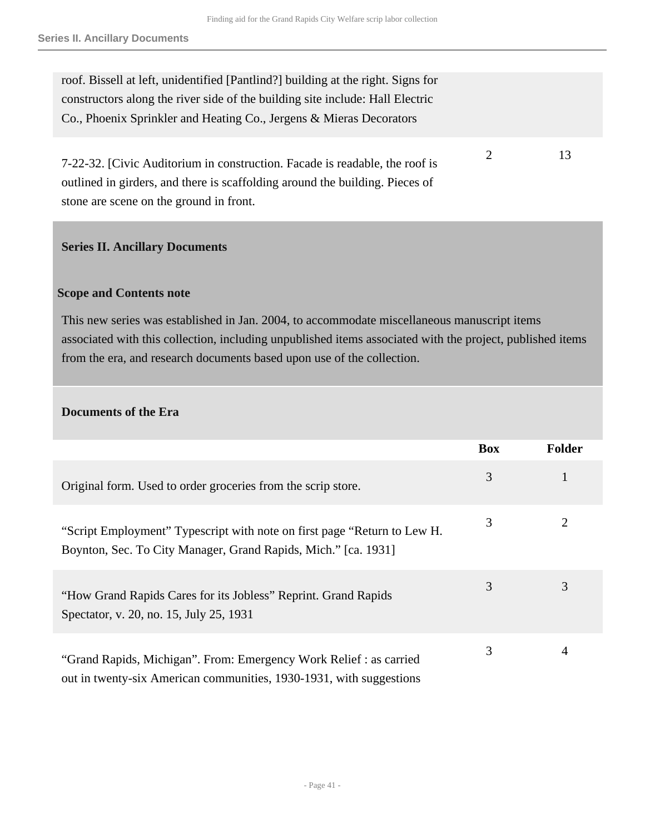2 13

roof. Bissell at left, unidentified [Pantlind?] building at the right. Signs for constructors along the river side of the building site include: Hall Electric Co., Phoenix Sprinkler and Heating Co., Jergens & Mieras Decorators

7-22-32. [Civic Auditorium in construction. Facade is readable, the roof is outlined in girders, and there is scaffolding around the building. Pieces of stone are scene on the ground in front.

#### <span id="page-40-0"></span>**Series II. Ancillary Documents**

#### **Scope and Contents note**

This new series was established in Jan. 2004, to accommodate miscellaneous manuscript items associated with this collection, including unpublished items associated with the project, published items from the era, and research documents based upon use of the collection.

#### **Documents of the Era**

|                                                                                                                                            | <b>Box</b> | <b>Folder</b> |
|--------------------------------------------------------------------------------------------------------------------------------------------|------------|---------------|
| Original form. Used to order groceries from the scrip store.                                                                               | 3          |               |
| "Script Employment" Typescript with note on first page "Return to Lew H.<br>Boynton, Sec. To City Manager, Grand Rapids, Mich." [ca. 1931] | 3          | 2             |
| "How Grand Rapids Cares for its Jobless" Reprint. Grand Rapids<br>Spectator, v. 20, no. 15, July 25, 1931                                  | 3          | 3             |
| "Grand Rapids, Michigan". From: Emergency Work Relief : as carried<br>out in twenty-six American communities, 1930-1931, with suggestions  | 3          | 4             |